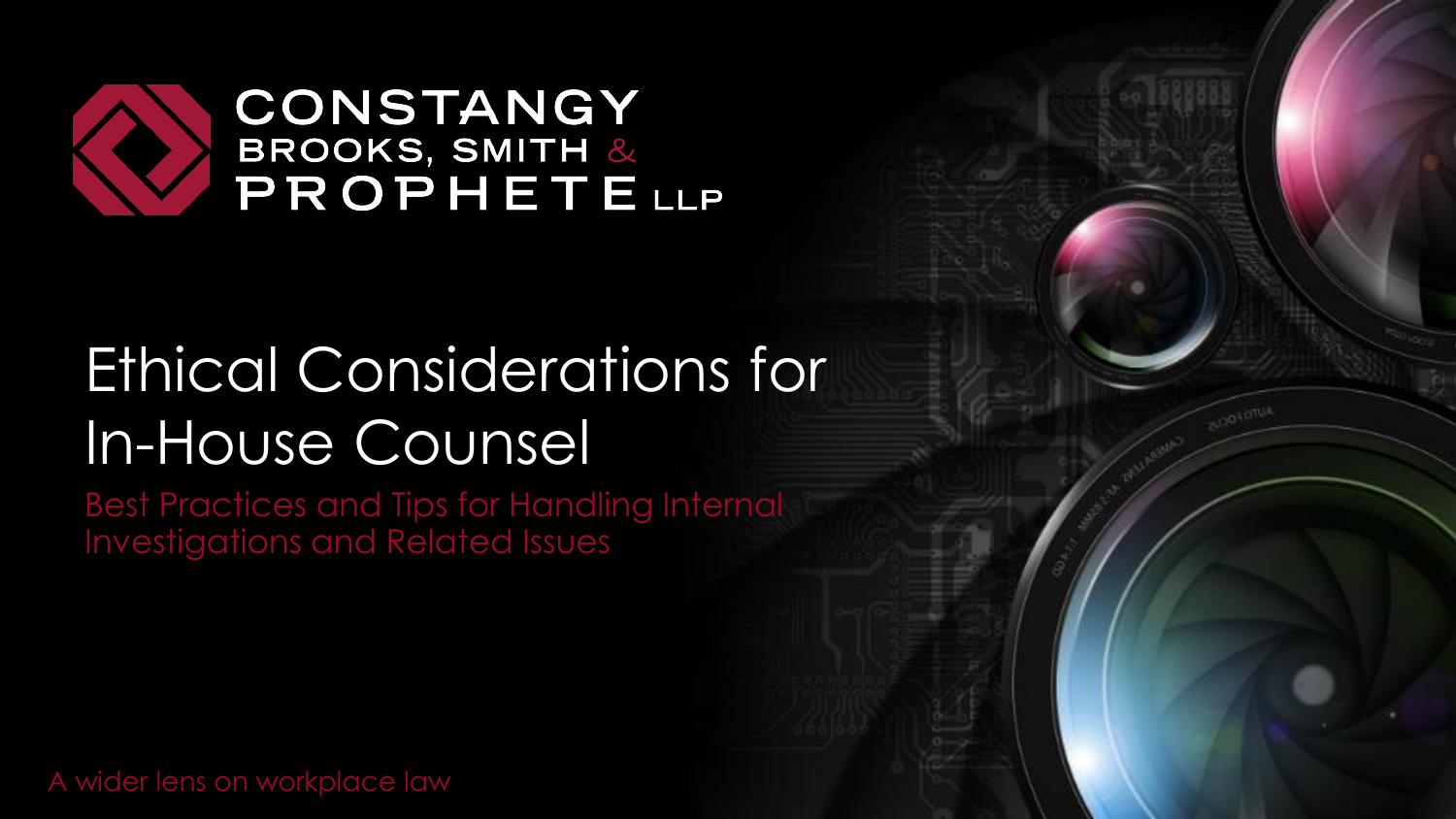

# Ethical Considerations for In-House Counsel

Best Practices and Tips for Handling Internal Investigations and Related Issues

A wider lens on workplace law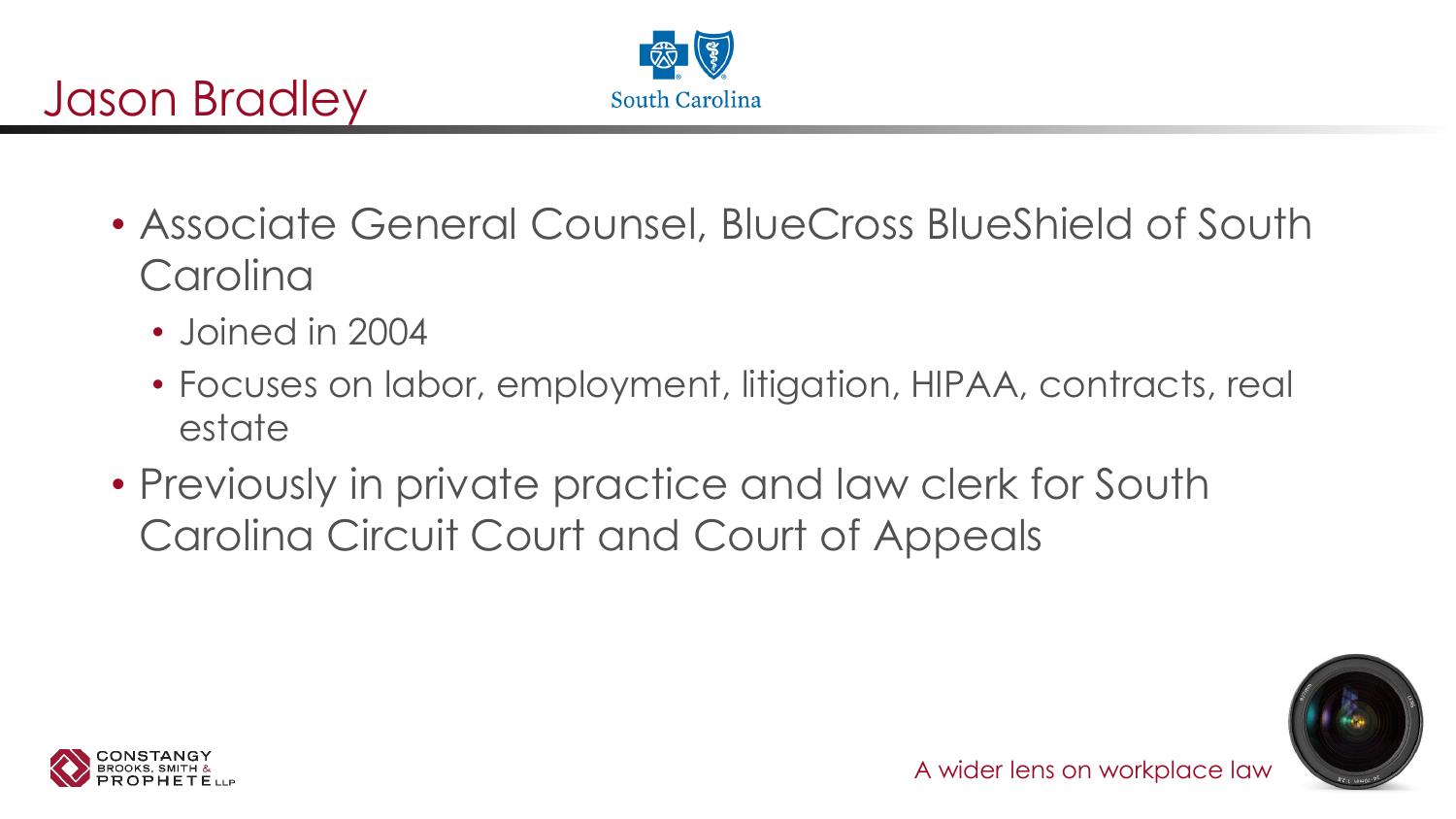

- Associate General Counsel, BlueCross BlueShield of South **Carolina** 
	- Joined in 2004

Jason Bradley

- Focuses on labor, employment, litigation, HIPAA, contracts, real estate
- Previously in private practice and law clerk for South Carolina Circuit Court and Court of Appeals



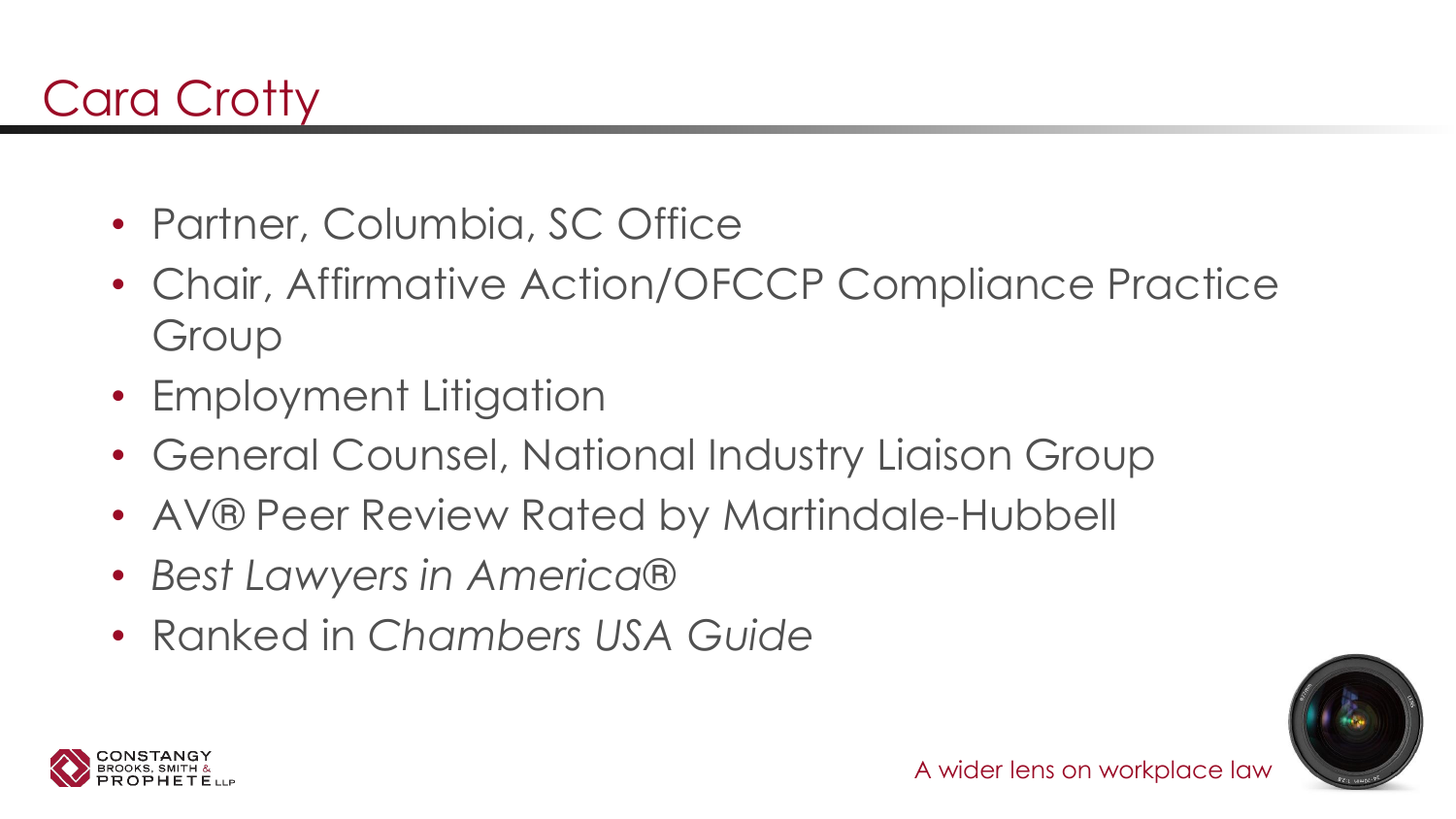- Partner, Columbia, SC Office
- Chair, Affirmative Action/OFCCP Compliance Practice Group
- Employment Litigation
- General Counsel, National Industry Liaison Group
- AV® Peer Review Rated by Martindale-Hubbell
- *Best Lawyers in America®*
- Ranked in *Chambers USA Guide*



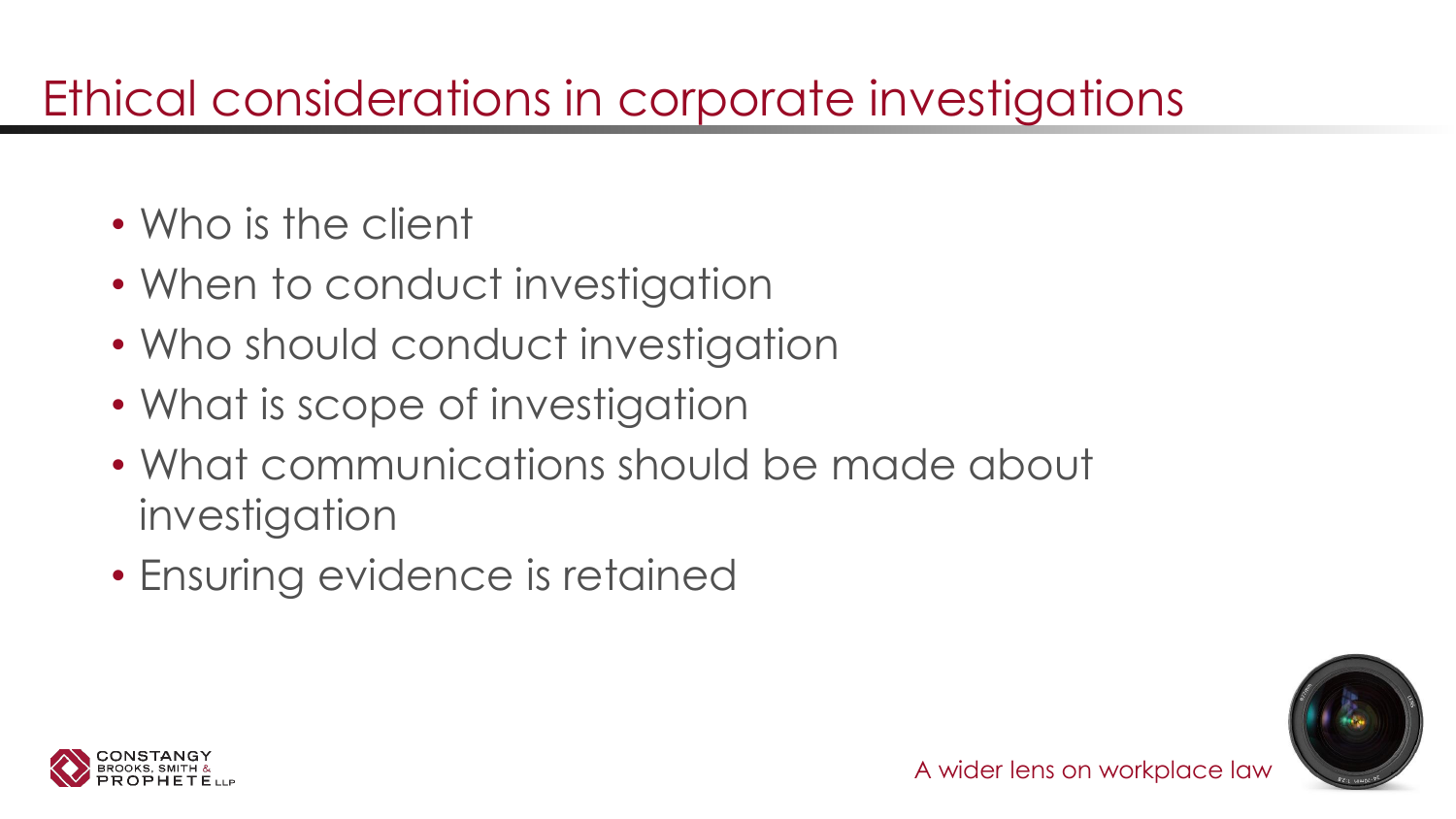# Ethical considerations in corporate investigations

- Who is the client
- When to conduct investigation
- Who should conduct investigation
- What is scope of investigation
- What communications should be made about investigation
- Ensuring evidence is retained



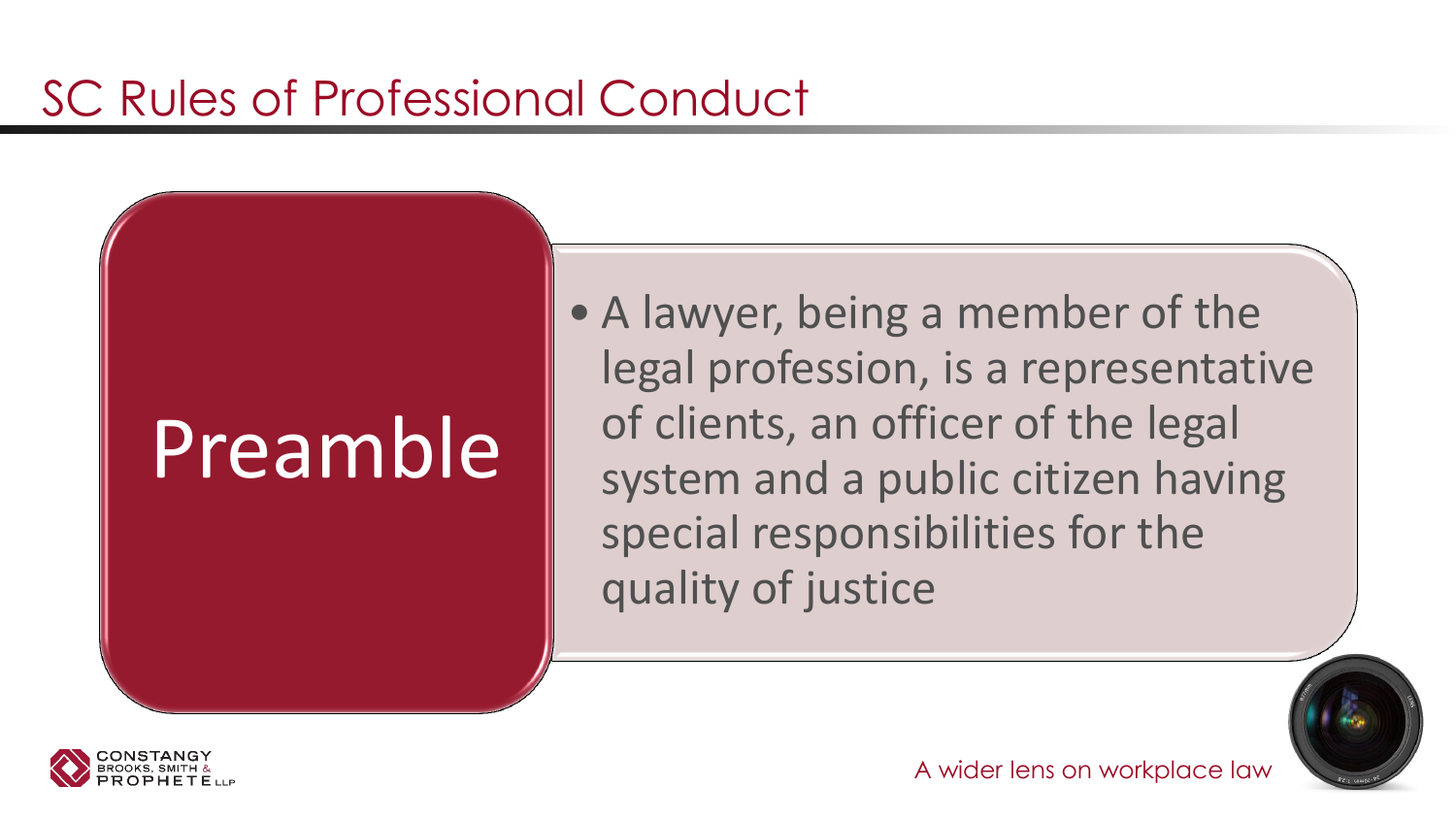# Preamble

• A lawyer, being a member of the legal profession, is a representative of clients, an officer of the legal system and a public citizen having special responsibilities for the quality of justice



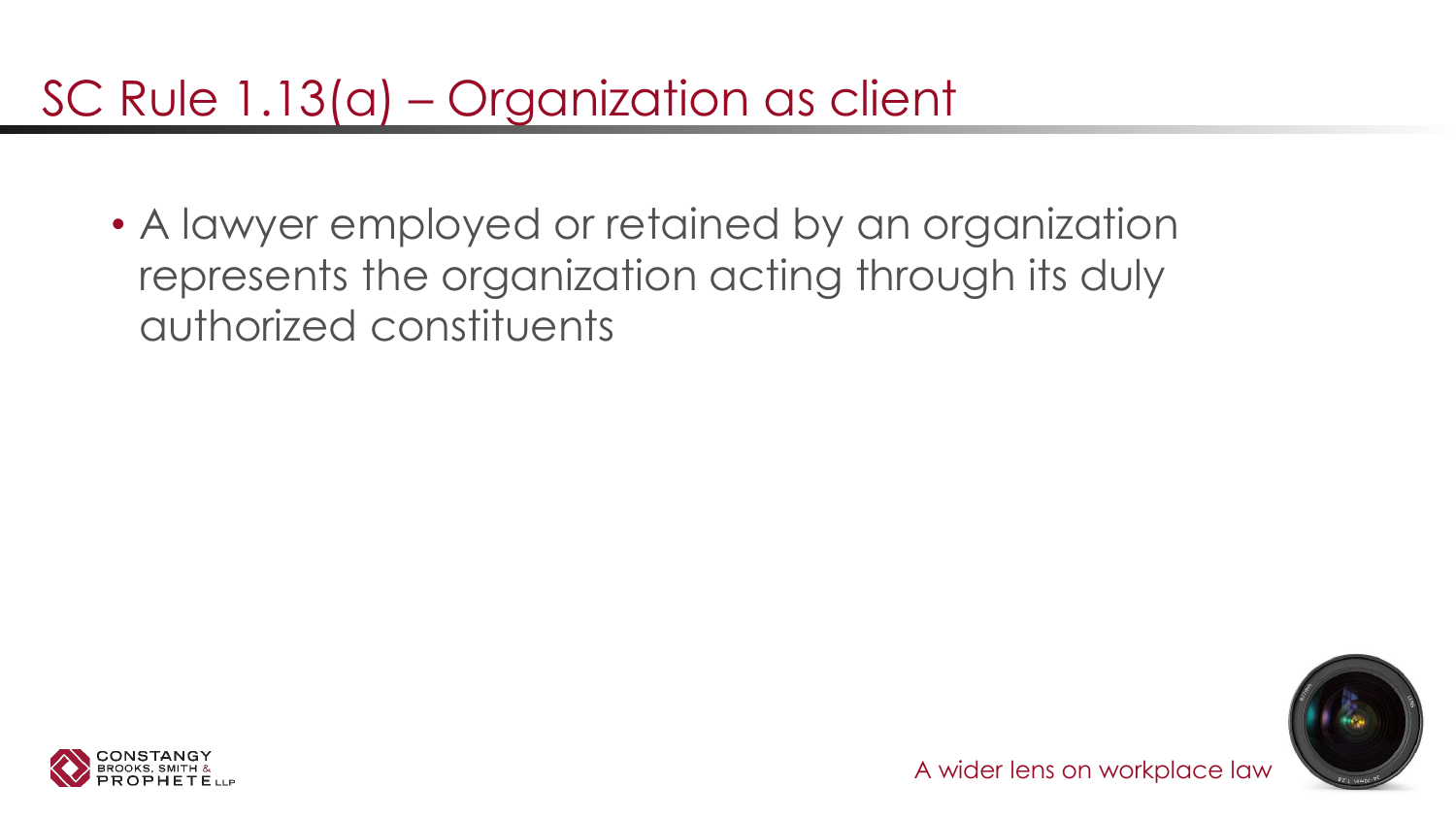### SC Rule 1.13(a) – Organization as client

• A lawyer employed or retained by an organization represents the organization acting through its duly authorized constituents



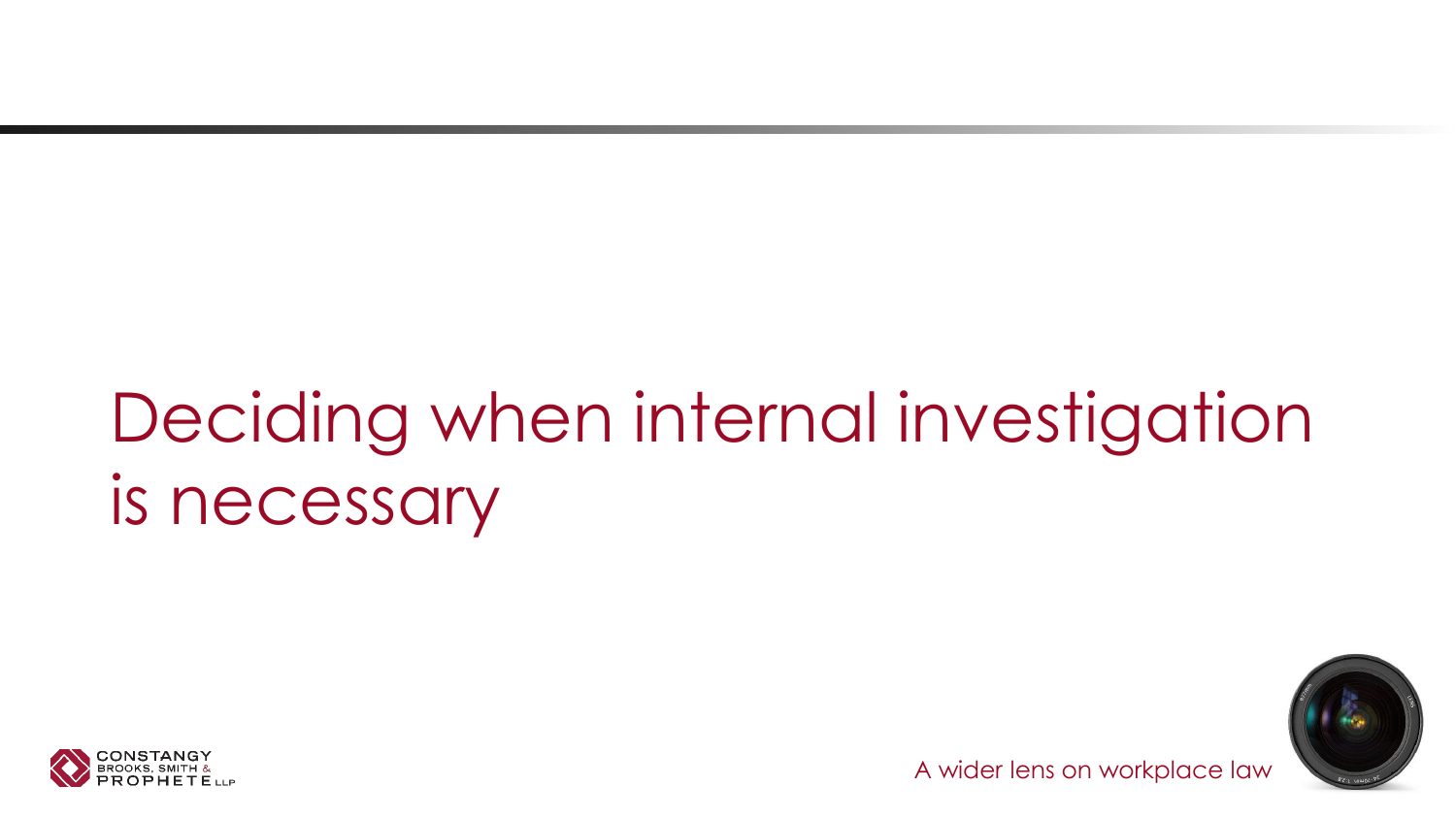# Deciding when internal investigation is necessary



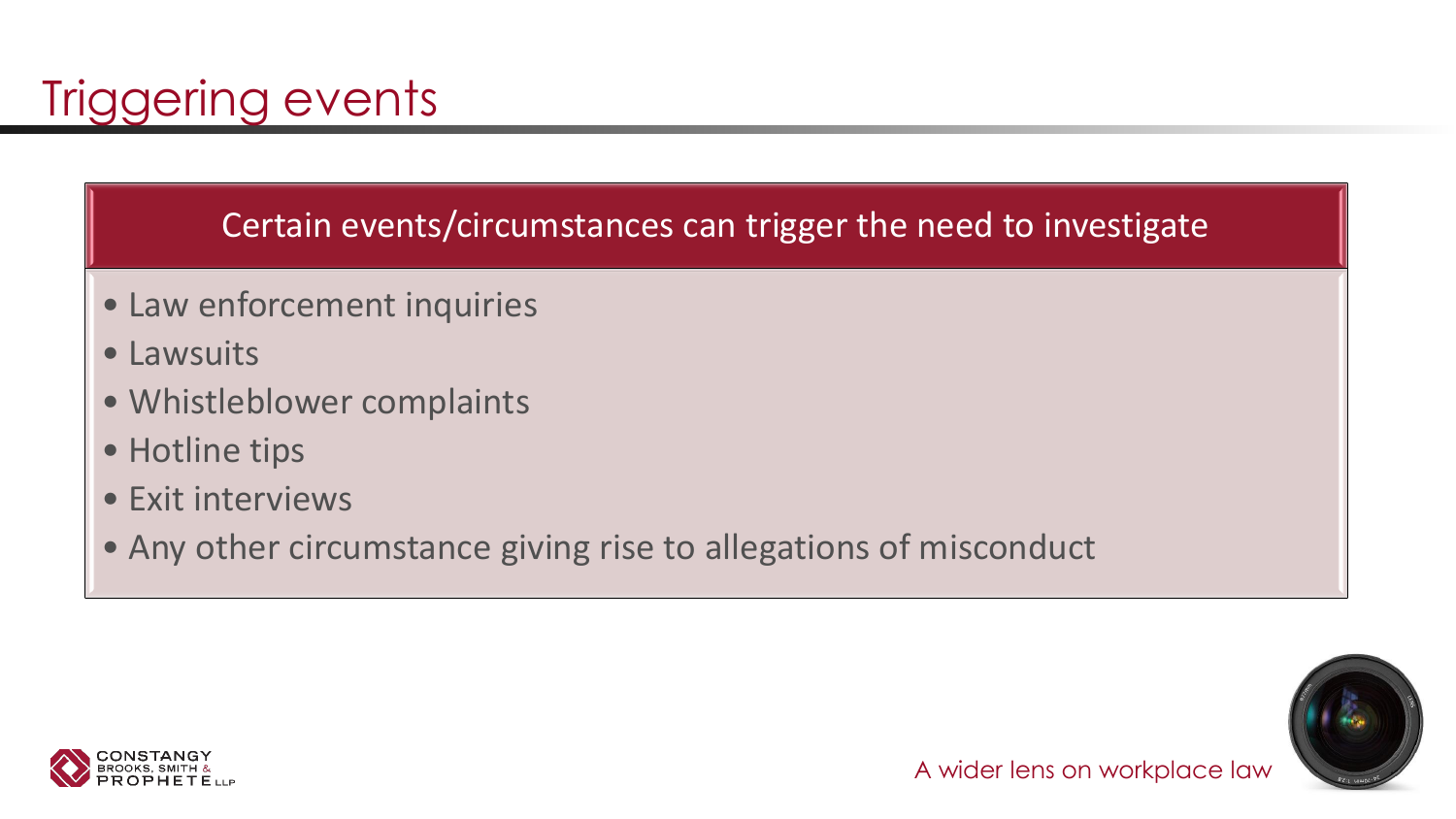Certain events/circumstances can trigger the need to investigate

- Law enforcement inquiries
- Lawsuits
- Whistleblower complaints
- Hotline tips
- Exit interviews
- Any other circumstance giving rise to allegations of misconduct



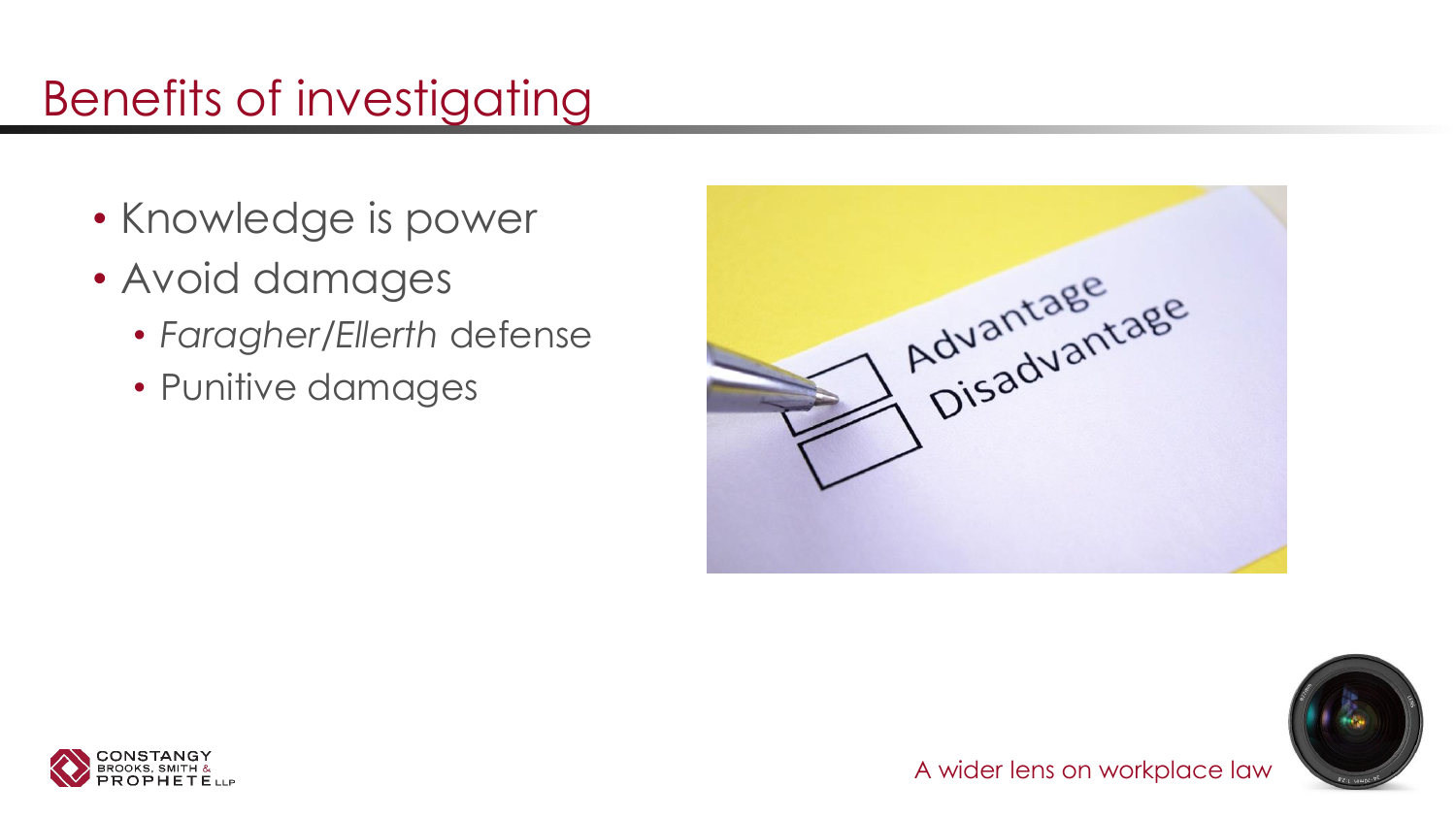## Benefits of investigating

- Knowledge is power
- Avoid damages
	- *Faragher/Ellerth* defense
	- Punitive damages





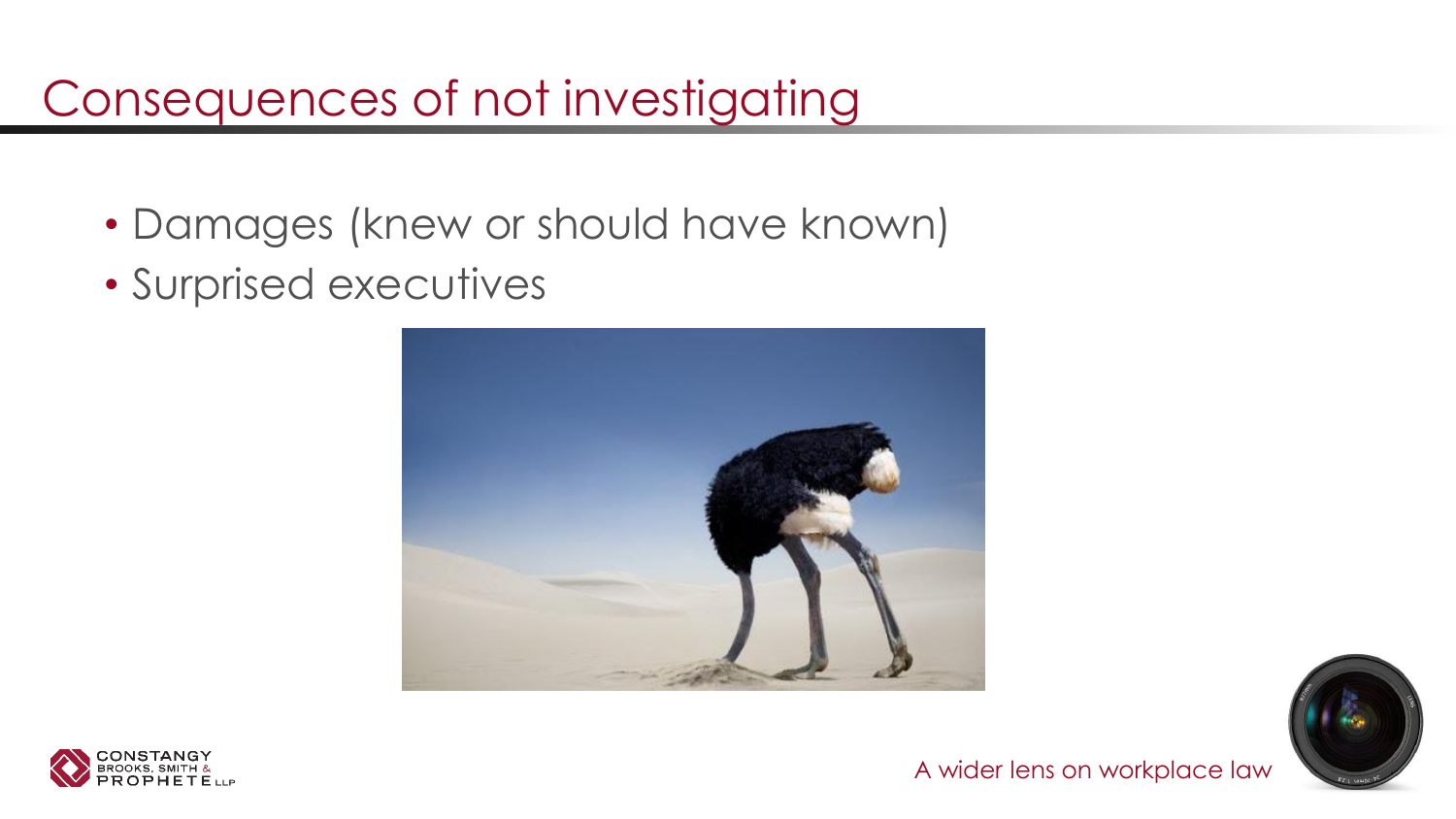### Consequences of not investigating

- Damages (knew or should have known)
- Surprised executives





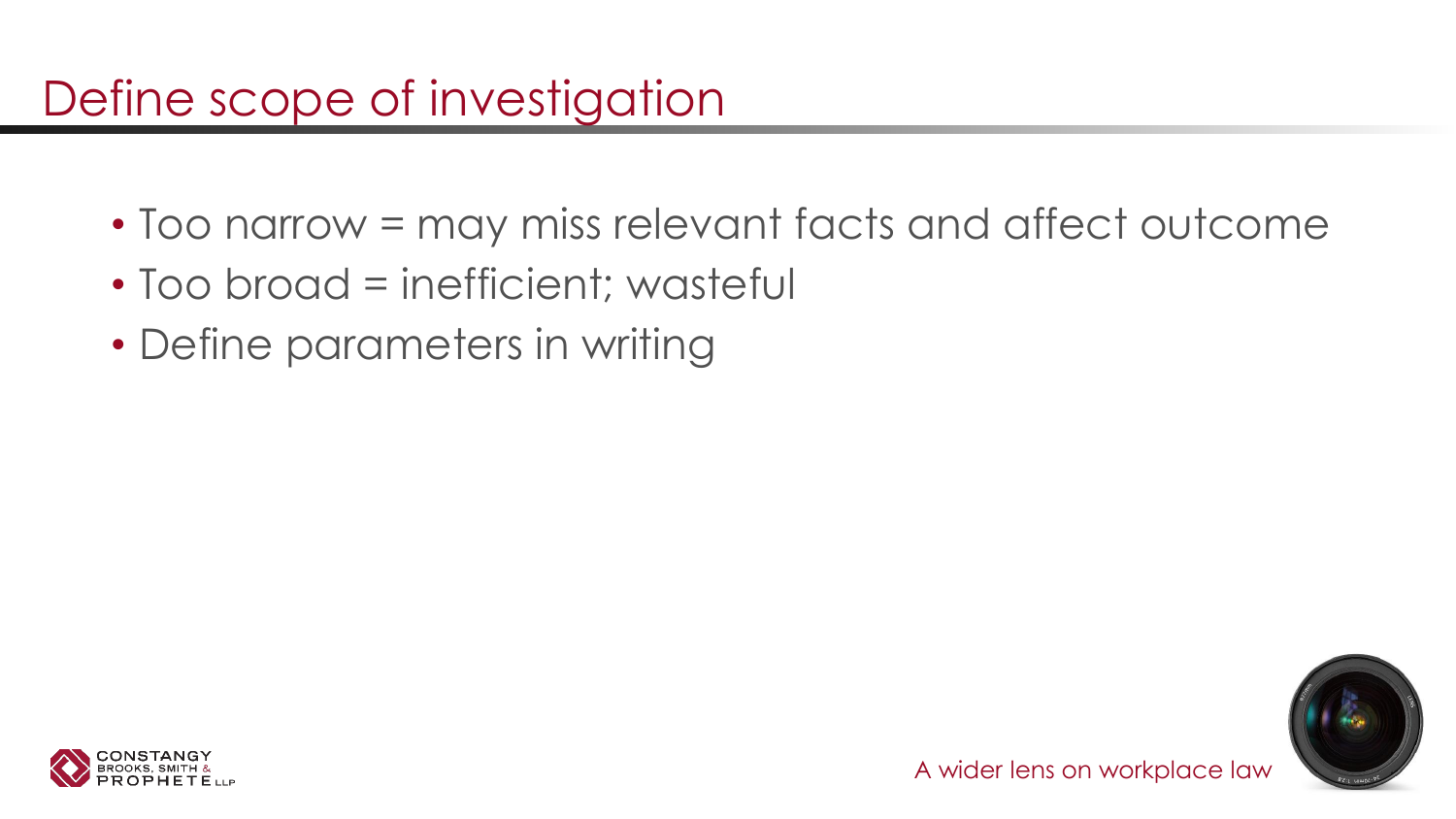### Define scope of investigation

- Too narrow = may miss relevant facts and affect outcome
- Too broad = inefficient; wasteful
- Define parameters in writing



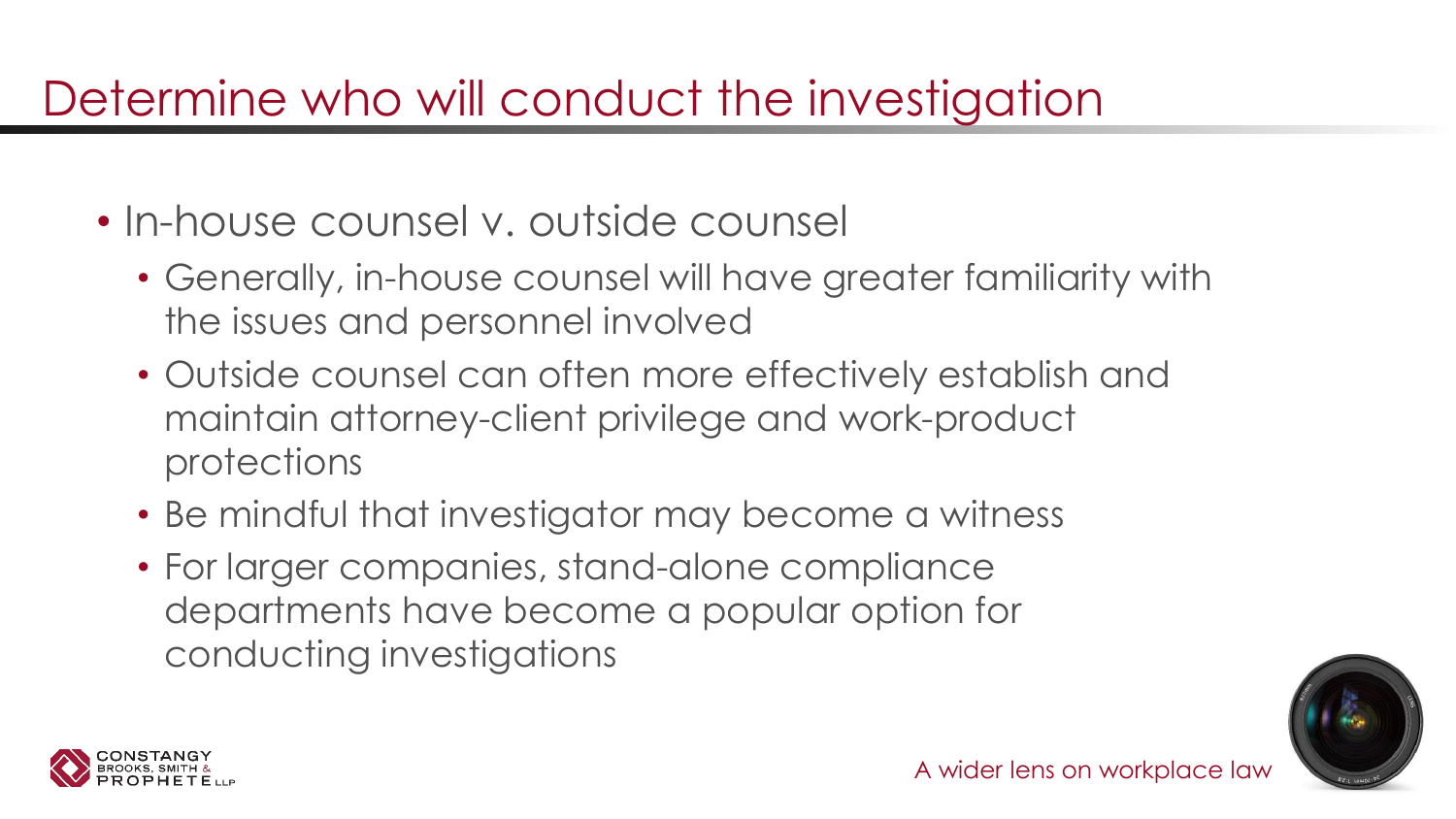### Determine who will conduct the investigation

- In-house counsel v. outside counsel
	- Generally, in-house counsel will have greater familiarity with the issues and personnel involved
	- Outside counsel can often more effectively establish and maintain attorney-client privilege and work-product protections
	- Be mindful that investigator may become a witness
	- For larger companies, stand-alone compliance departments have become a popular option for conducting investigations



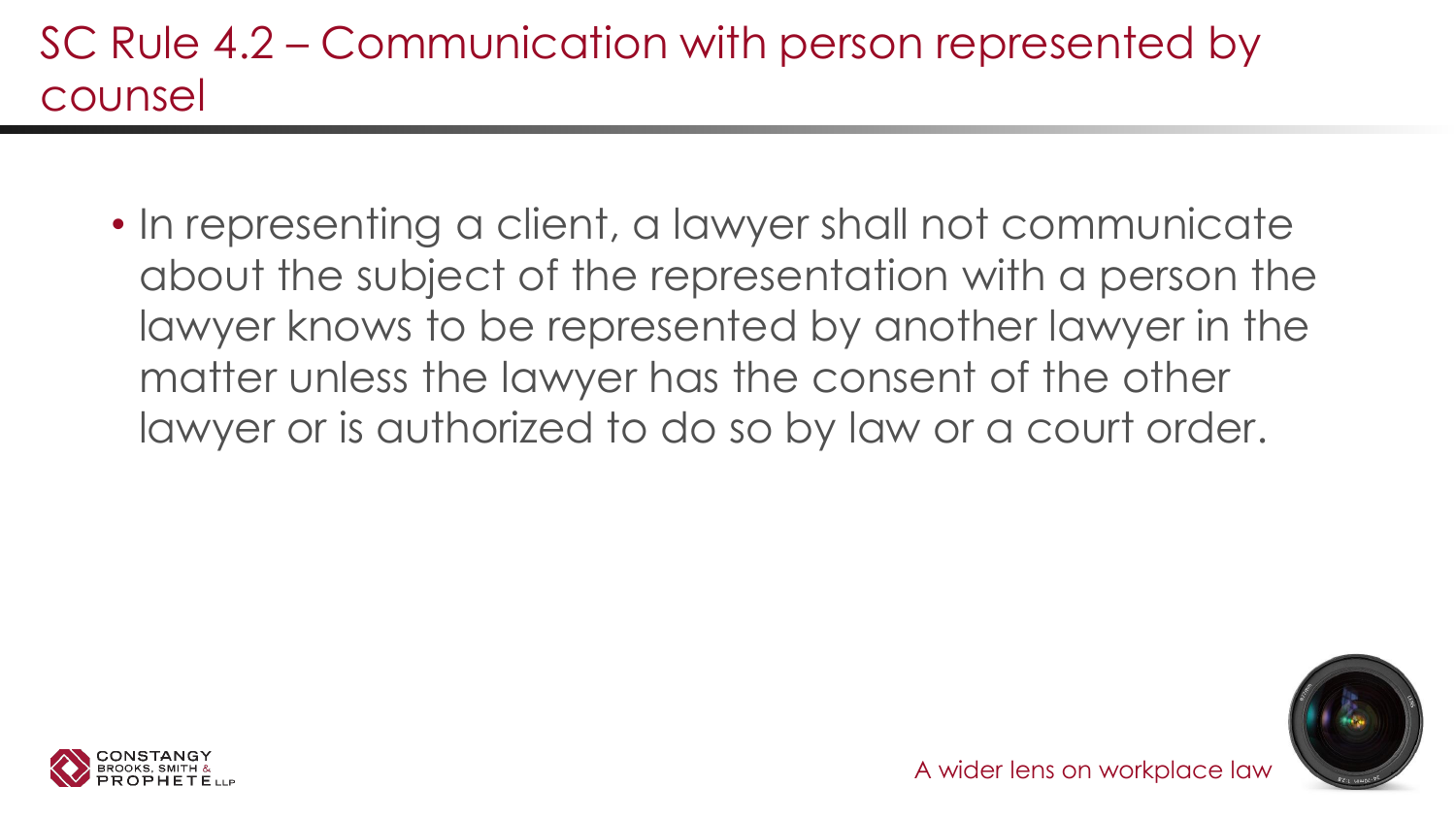#### SC Rule 4.2 – Communication with person represented by counsel

• In representing a client, a lawyer shall not communicate about the subject of the representation with a person the lawyer knows to be represented by another lawyer in the matter unless the lawyer has the consent of the other lawyer or is authorized to do so by law or a court order.

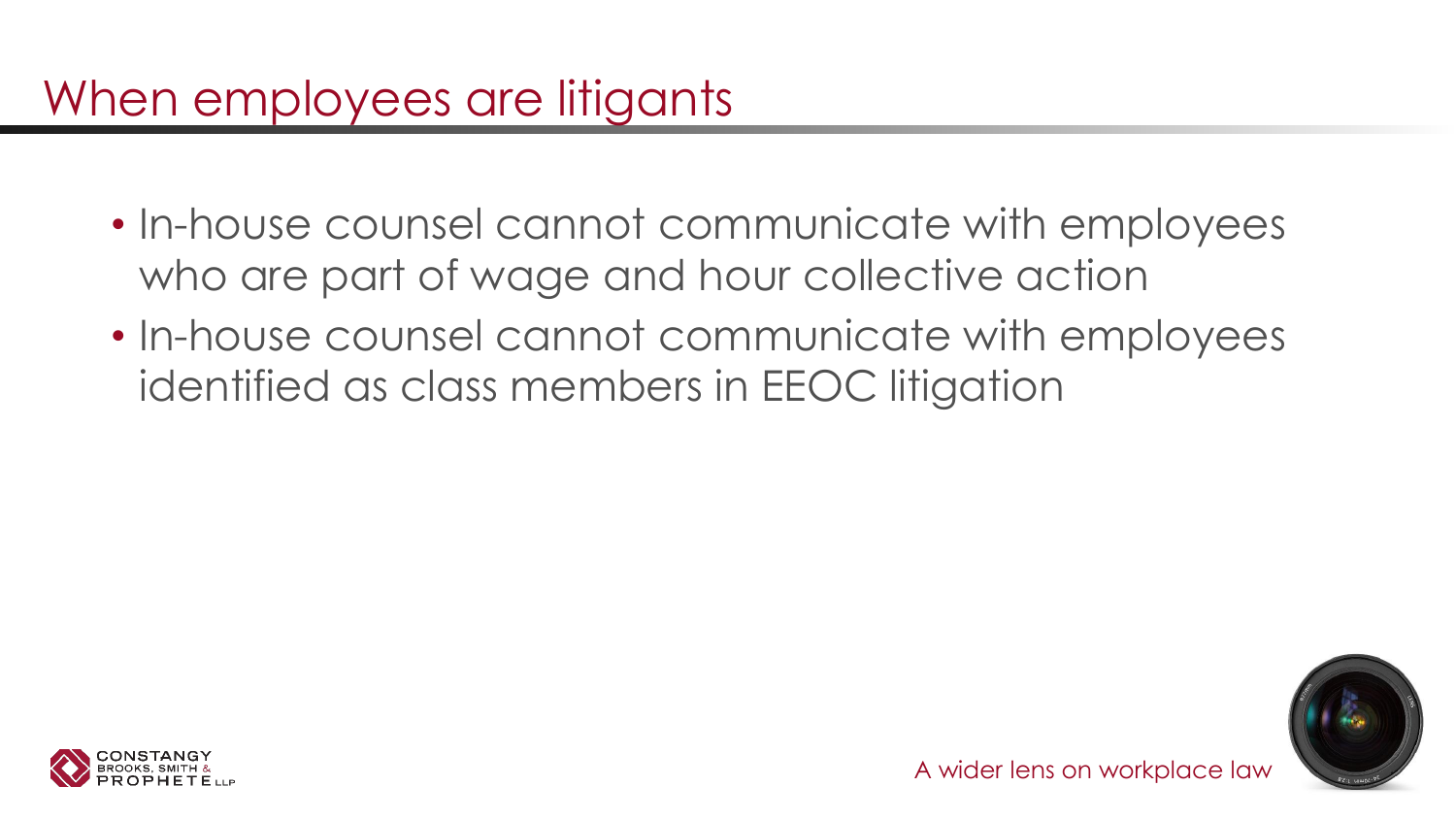#### When employees are litigants

- In-house counsel cannot communicate with employees who are part of wage and hour collective action
- In-house counsel cannot communicate with employees identified as class members in EEOC litigation



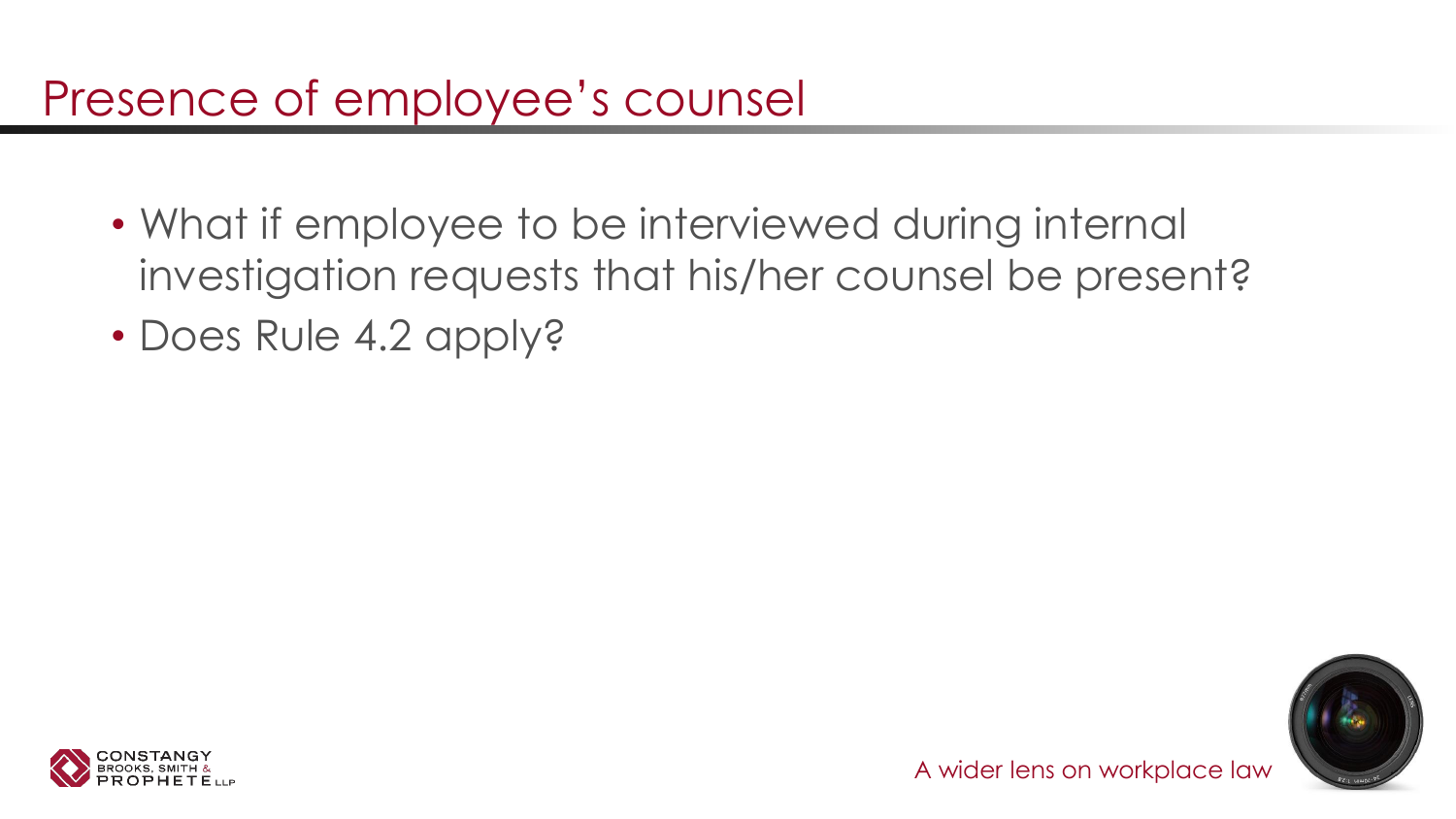#### Presence of employee's counsel

- What if employee to be interviewed during internal investigation requests that his/her counsel be present?
- Does Rule 4.2 apply?



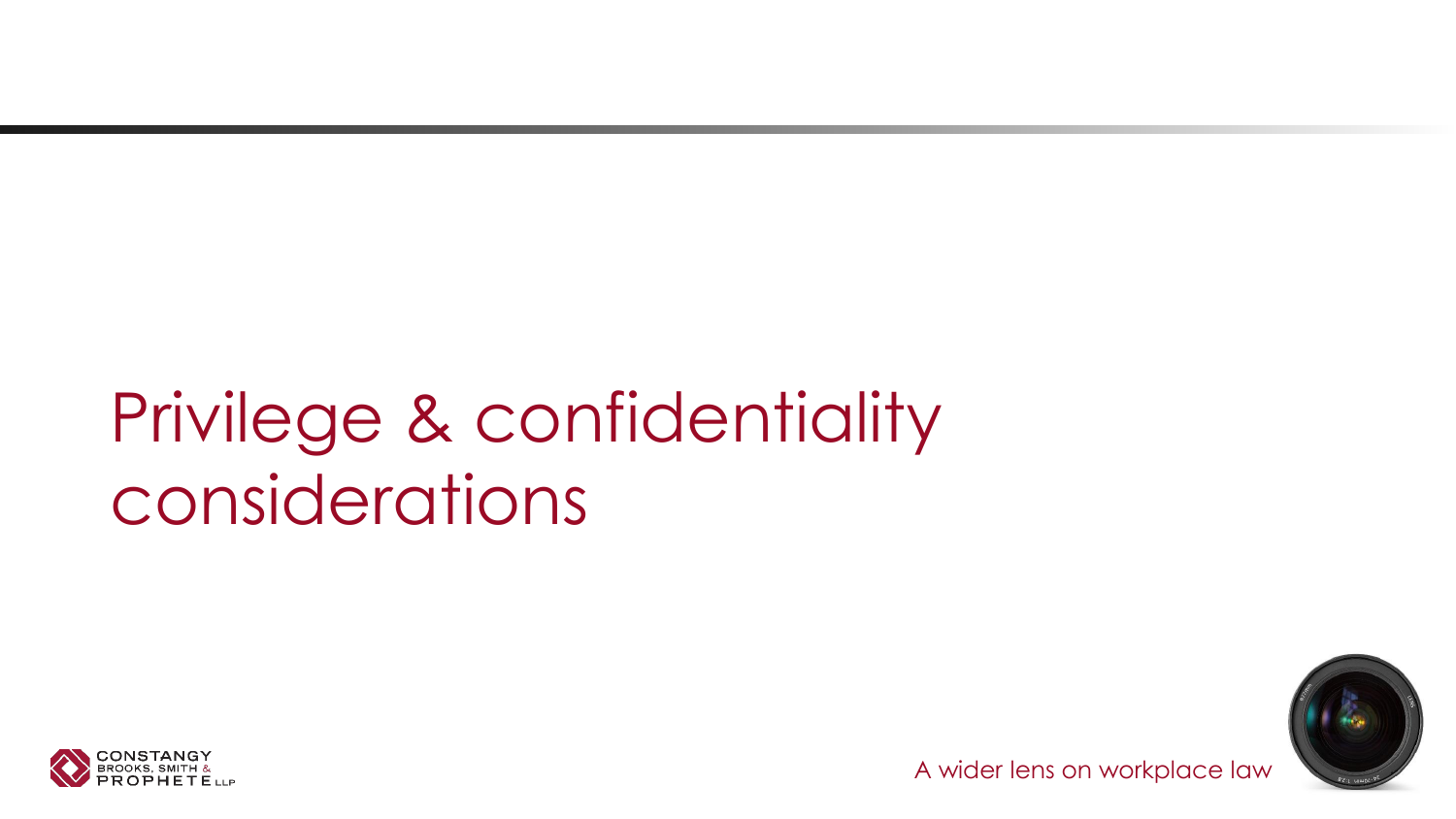# Privilege & confidentiality considerations



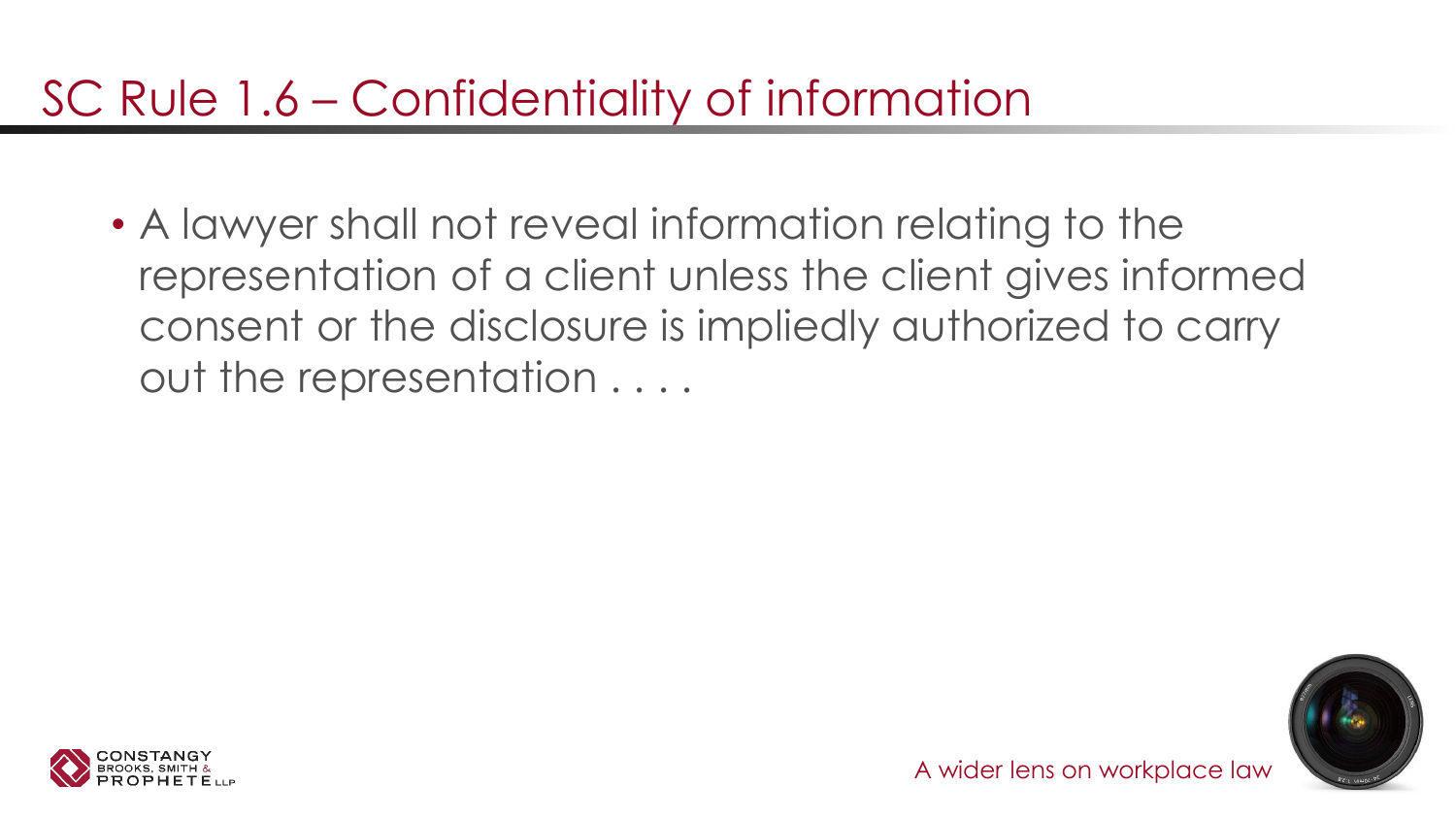### SC Rule 1.6 – Confidentiality of information

• A lawyer shall not reveal information relating to the representation of a client unless the client gives informed consent or the disclosure is impliedly authorized to carry out the representation . . . .



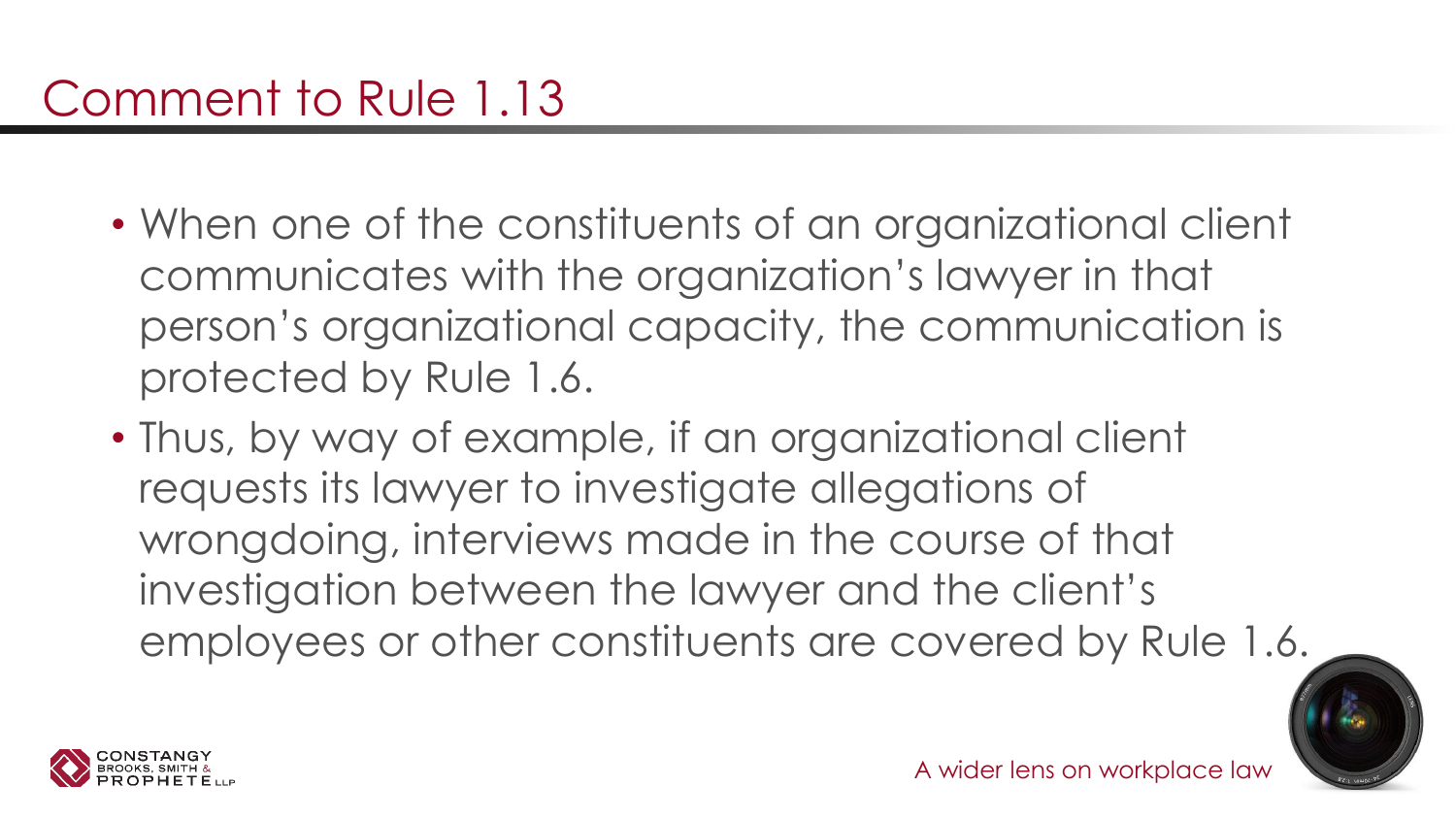- When one of the constituents of an organizational client communicates with the organization's lawyer in that person's organizational capacity, the communication is protected by Rule 1.6.
- Thus, by way of example, if an organizational client requests its lawyer to investigate allegations of wrongdoing, interviews made in the course of that investigation between the lawyer and the client's employees or other constituents are covered by Rule 1.6.



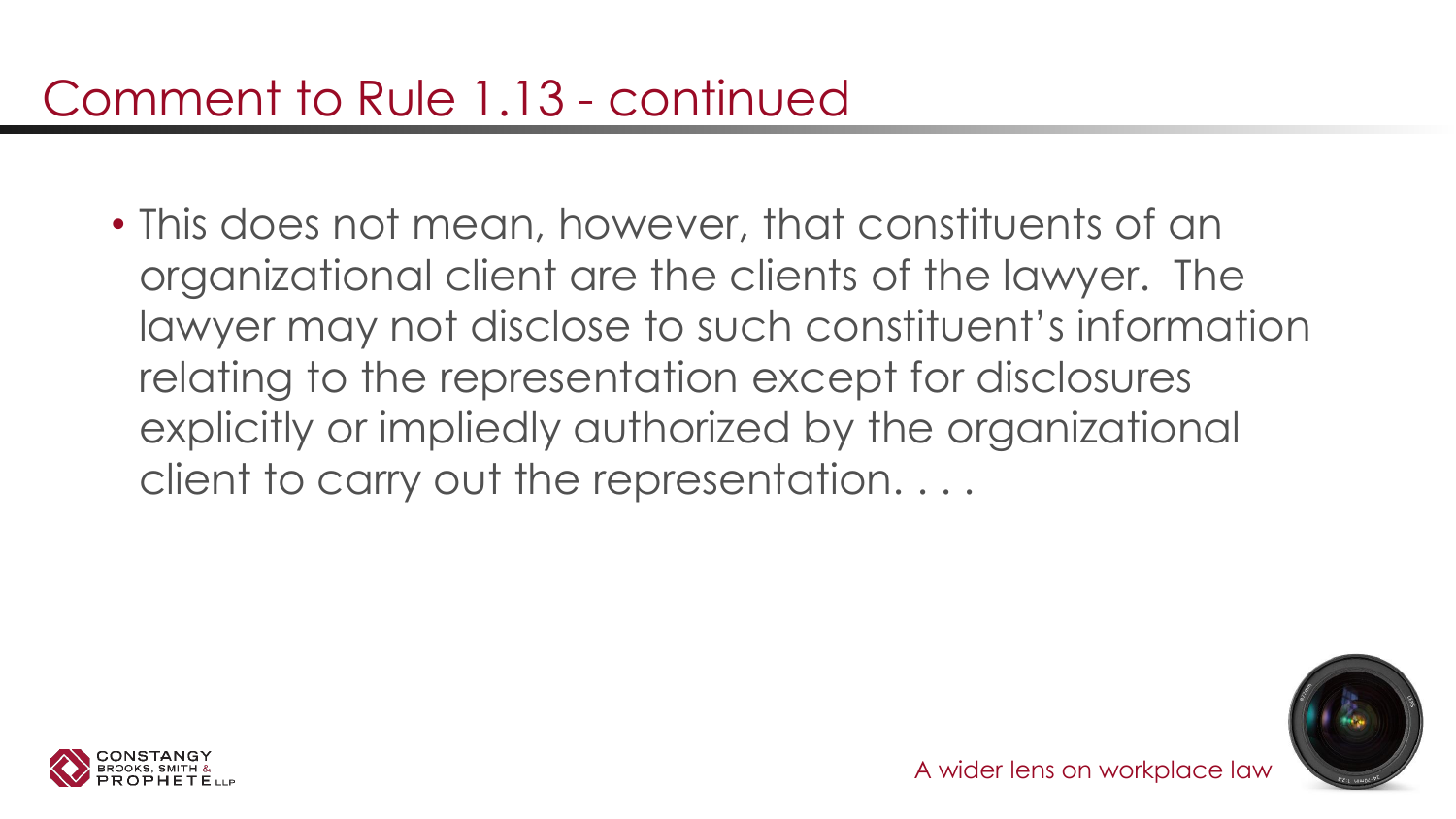• This does not mean, however, that constituents of an organizational client are the clients of the lawyer. The lawyer may not disclose to such constituent's information relating to the representation except for disclosures explicitly or impliedly authorized by the organizational client to carry out the representation. . . .



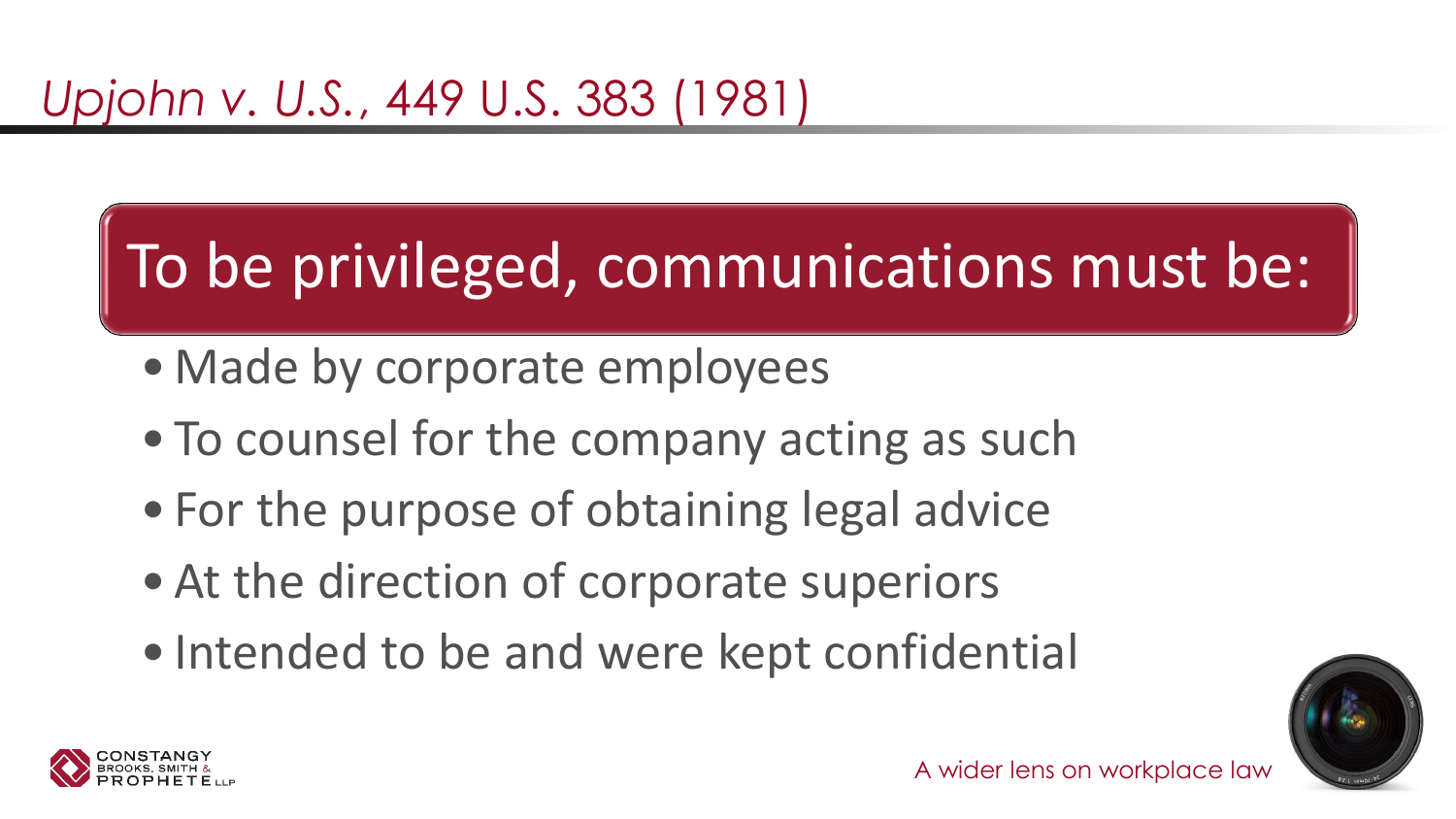# To be privileged, communications must be:

- Made by corporate employees
- To counsel for the company acting as such
- For the purpose of obtaining legal advice
- At the direction of corporate superiors
- Intended to be and were kept confidential



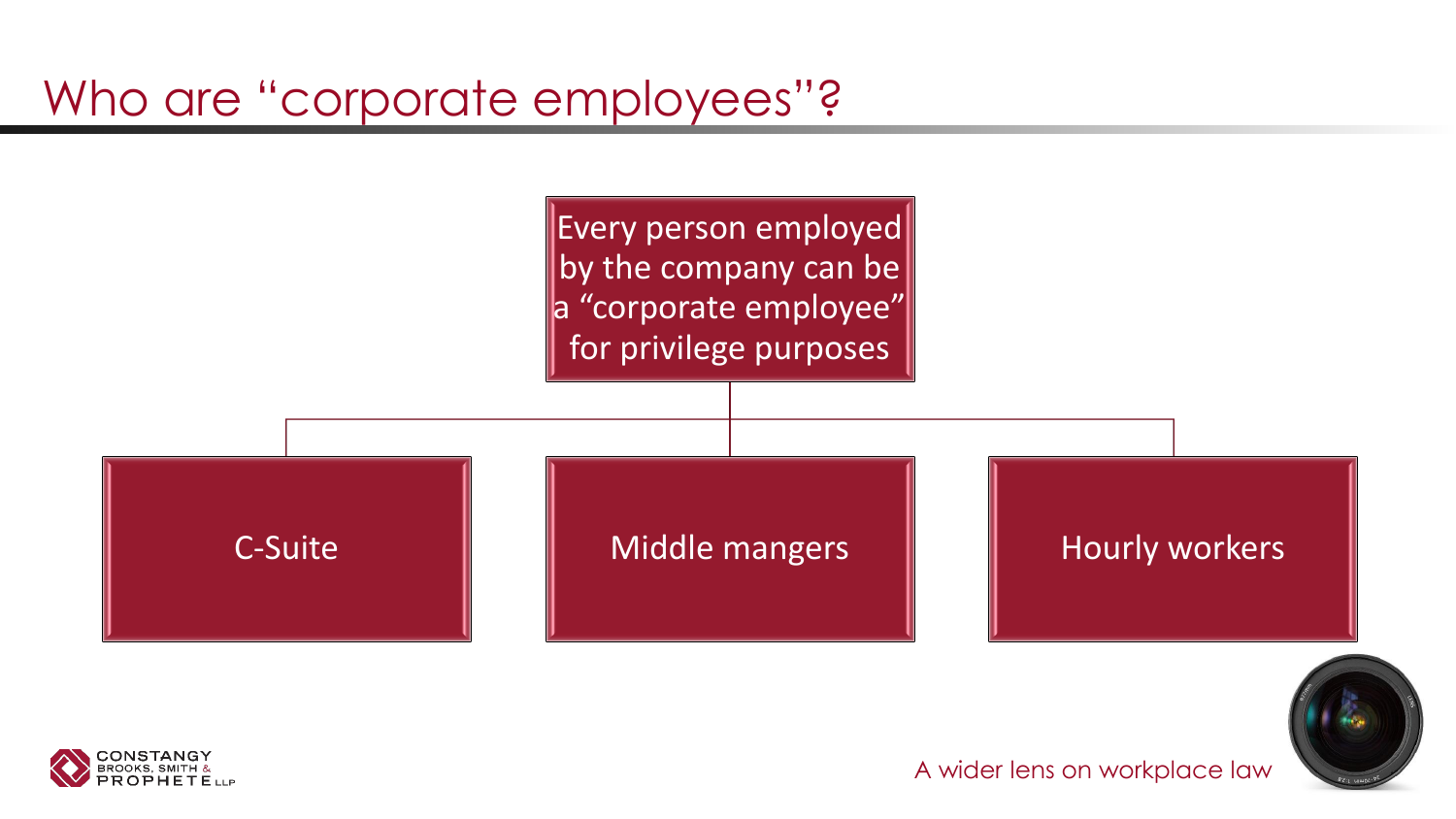#### Who are "corporate employees"?





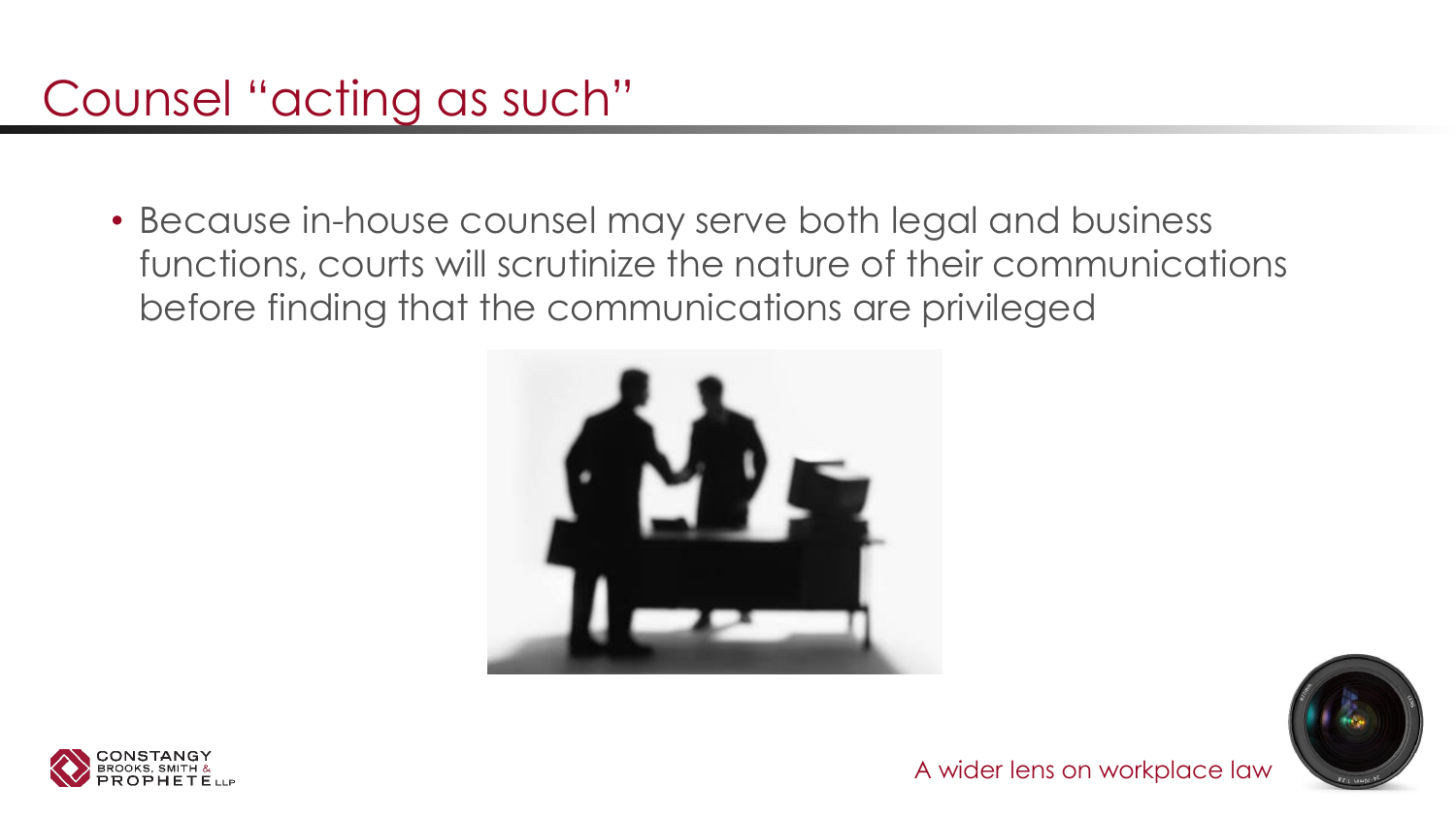### Counsel "acting as such"

• Because in-house counsel may serve both legal and business functions, courts will scrutinize the nature of their communications before finding that the communications are privileged





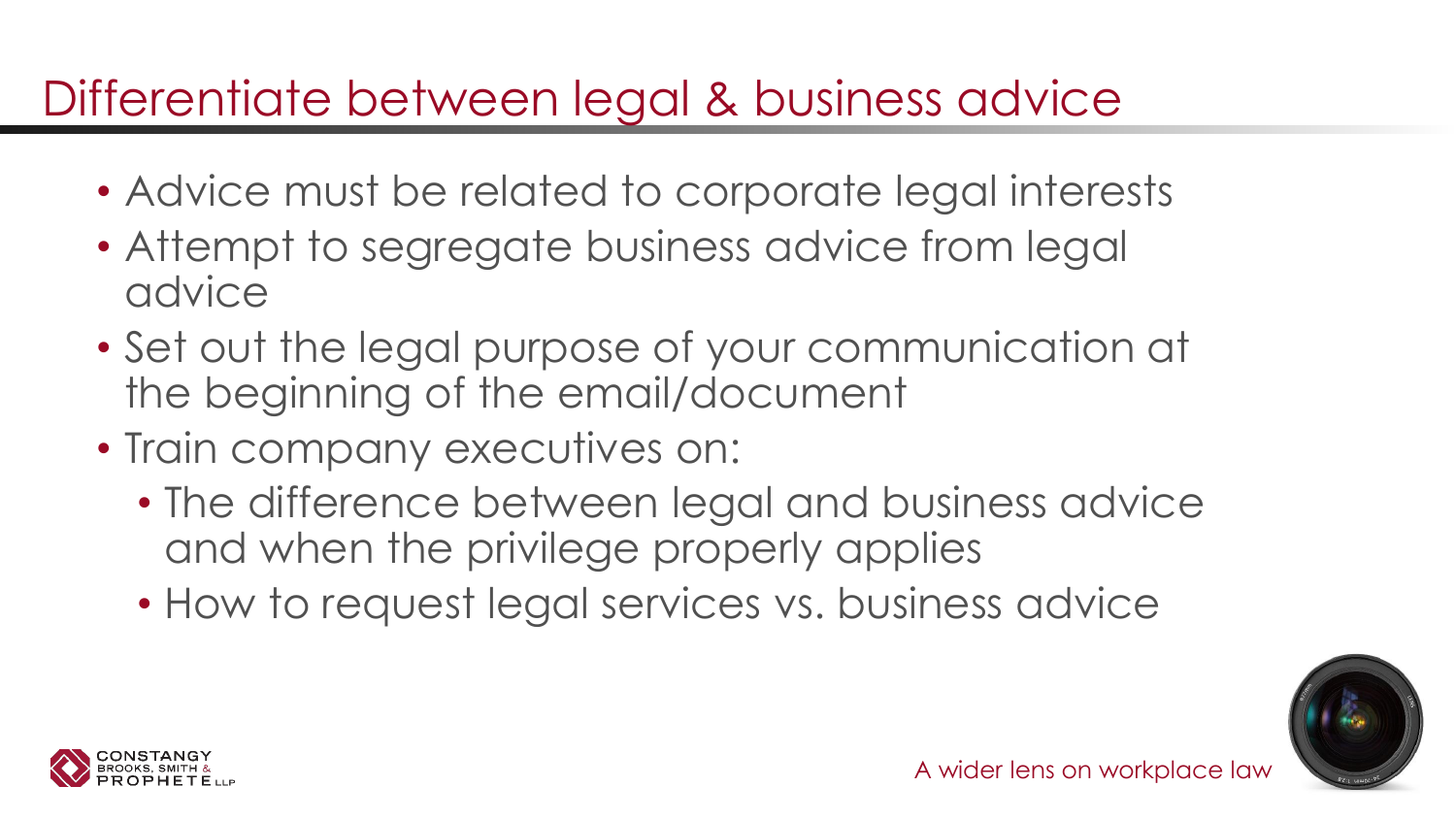### Differentiate between legal & business advice

- Advice must be related to corporate legal interests
- Attempt to segregate business advice from legal advice
- Set out the legal purpose of your communication at the beginning of the email/document
- Train company executives on:
	- The difference between legal and business advice and when the privilege properly applies
	- How to request legal services vs. business advice



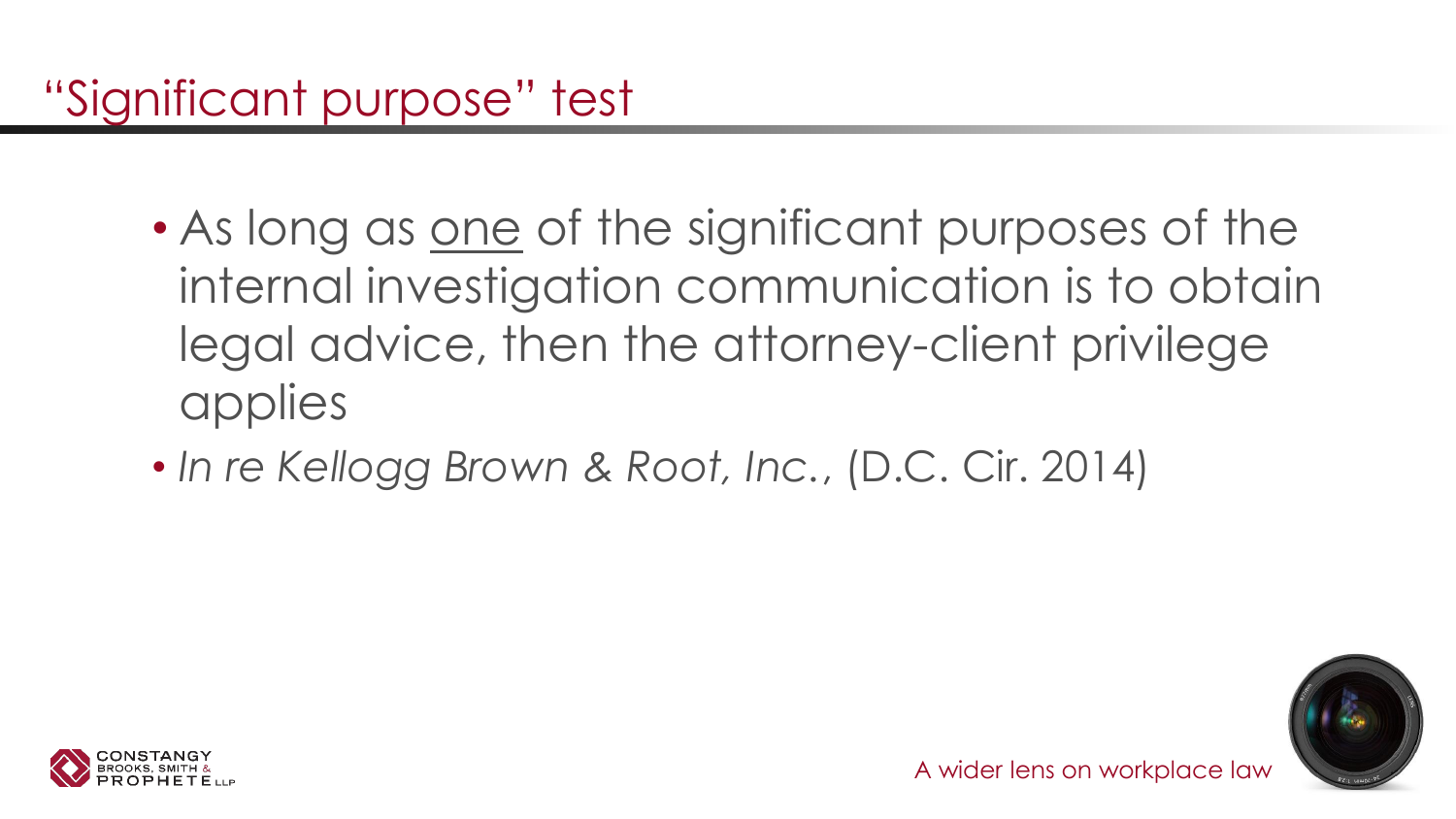- As long as one of the significant purposes of the internal investigation communication is to obtain legal advice, then the attorney-client privilege applies
- *In re Kellogg Brown & Root, Inc.*, (D.C. Cir. 2014)



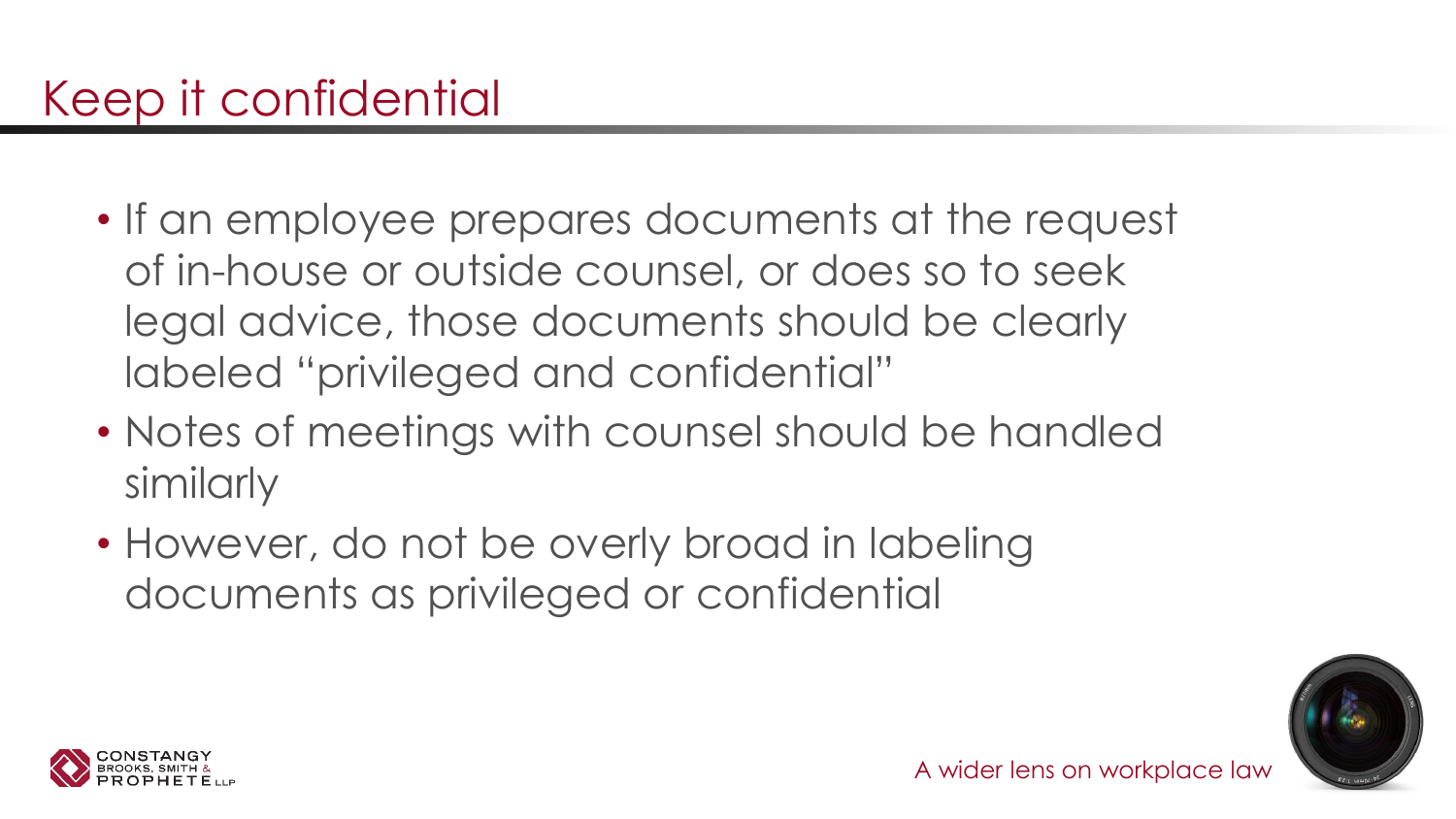- If an employee prepares documents at the request of in-house or outside counsel, or does so to seek legal advice, those documents should be clearly labeled "privileged and confidential"
- Notes of meetings with counsel should be handled similarly
- However, do not be overly broad in labeling documents as privileged or confidential



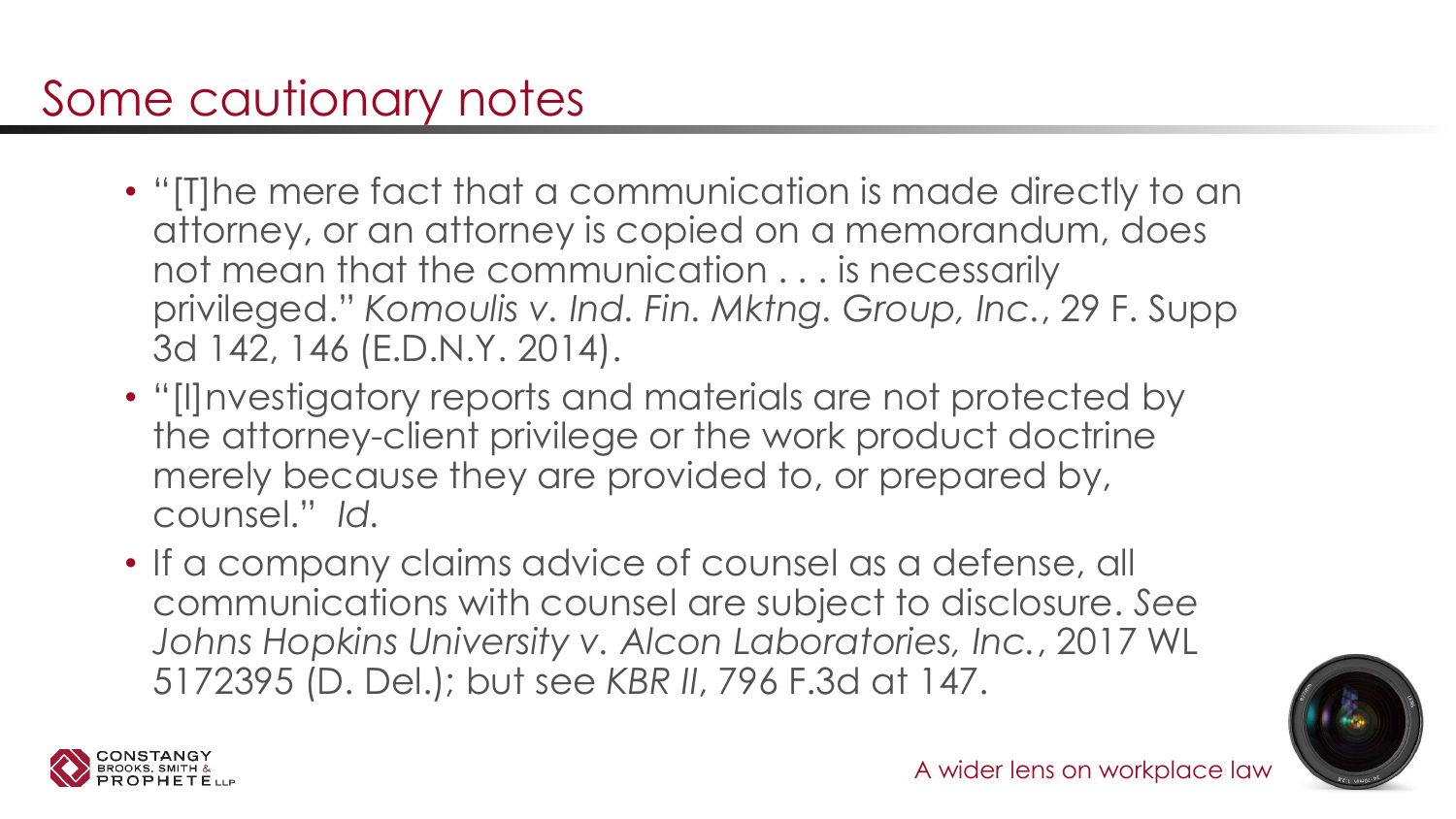### Some cautionary notes

- "[T]he mere fact that a communication is made directly to an attorney, or an attorney is copied on a memorandum, does not mean that the communication . . . is necessarily privileged." *Komoulis v. Ind. Fin. Mktng. Group, Inc.*, 29 F. Supp 3d 142, 146 (E.D.N.Y. 2014).
- "[I]nvestigatory reports and materials are not protected by the attorney-client privilege or the work product doctrine merely because they are provided to, or prepared by, counsel." *Id.*
- If a company claims advice of counsel as a defense, all communications with counsel are subject to disclosure. *See Johns Hopkins University v. Alcon Laboratories, Inc.*, 2017 WL 5172395 (D. Del.); but see *KBR II*, 796 F.3d at 147.



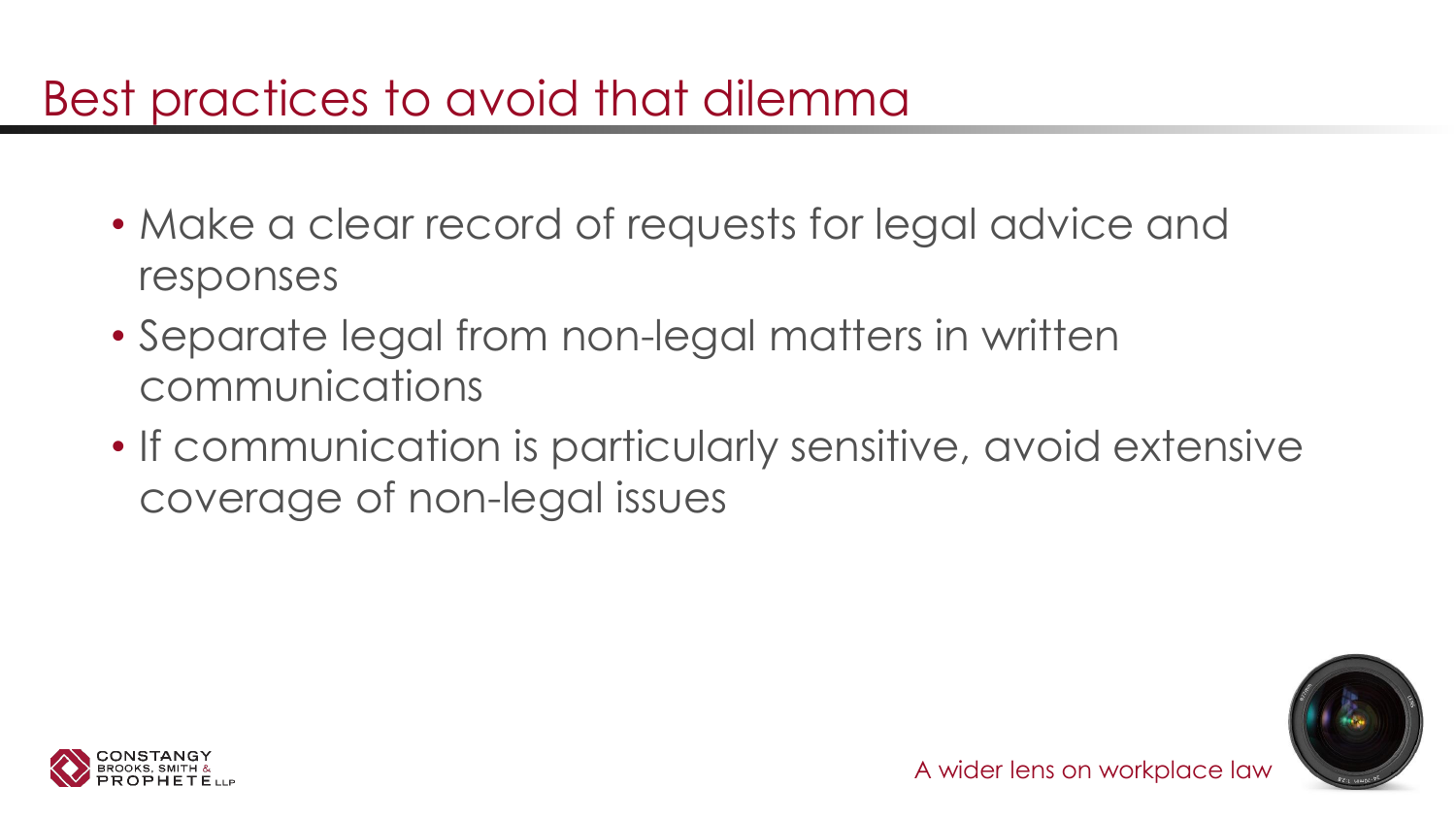#### Best practices to avoid that dilemma

- Make a clear record of requests for legal advice and responses
- Separate legal from non-legal matters in written communications
- If communication is particularly sensitive, avoid extensive coverage of non-legal issues



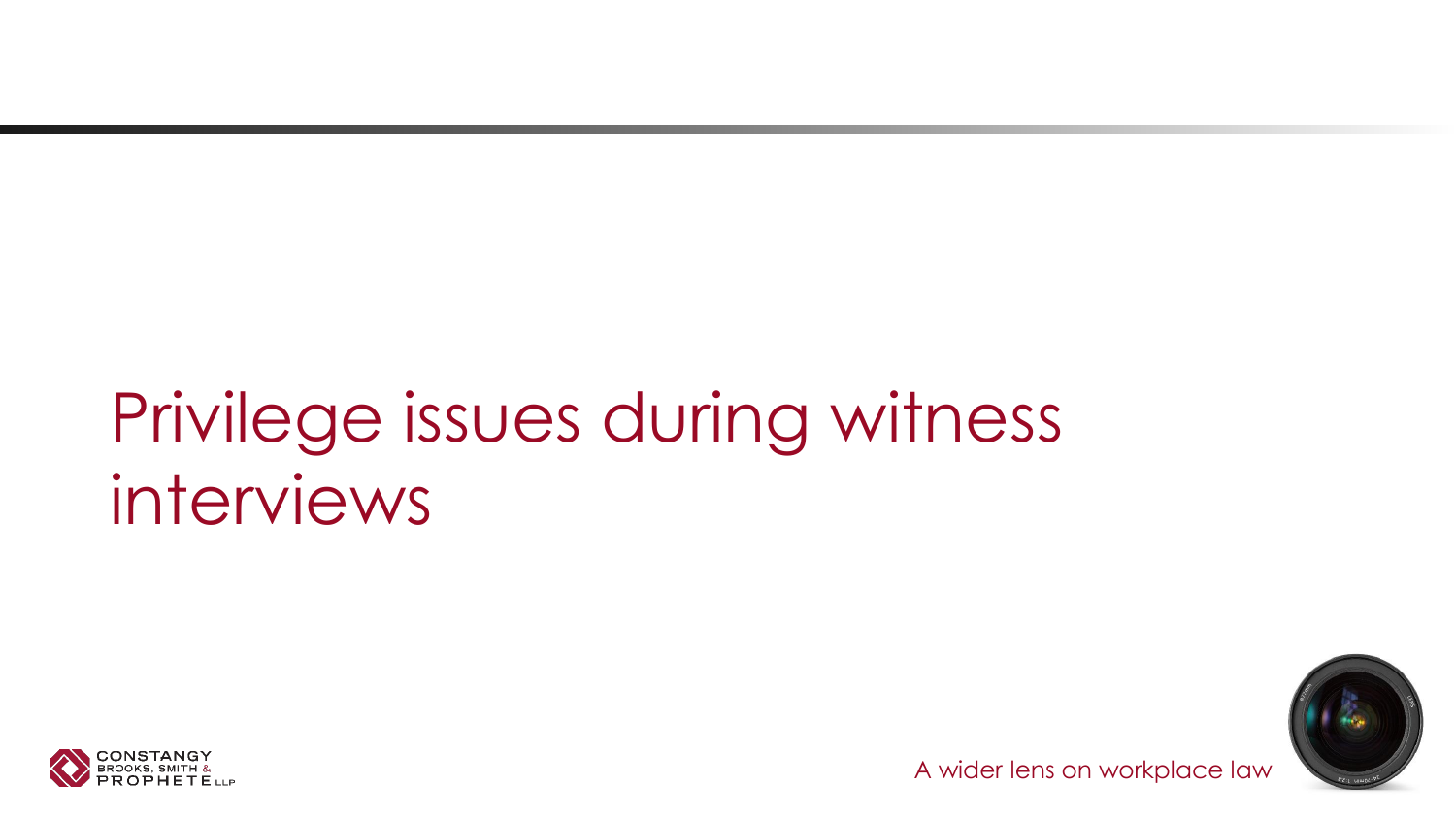# Privilege issues during witness interviews



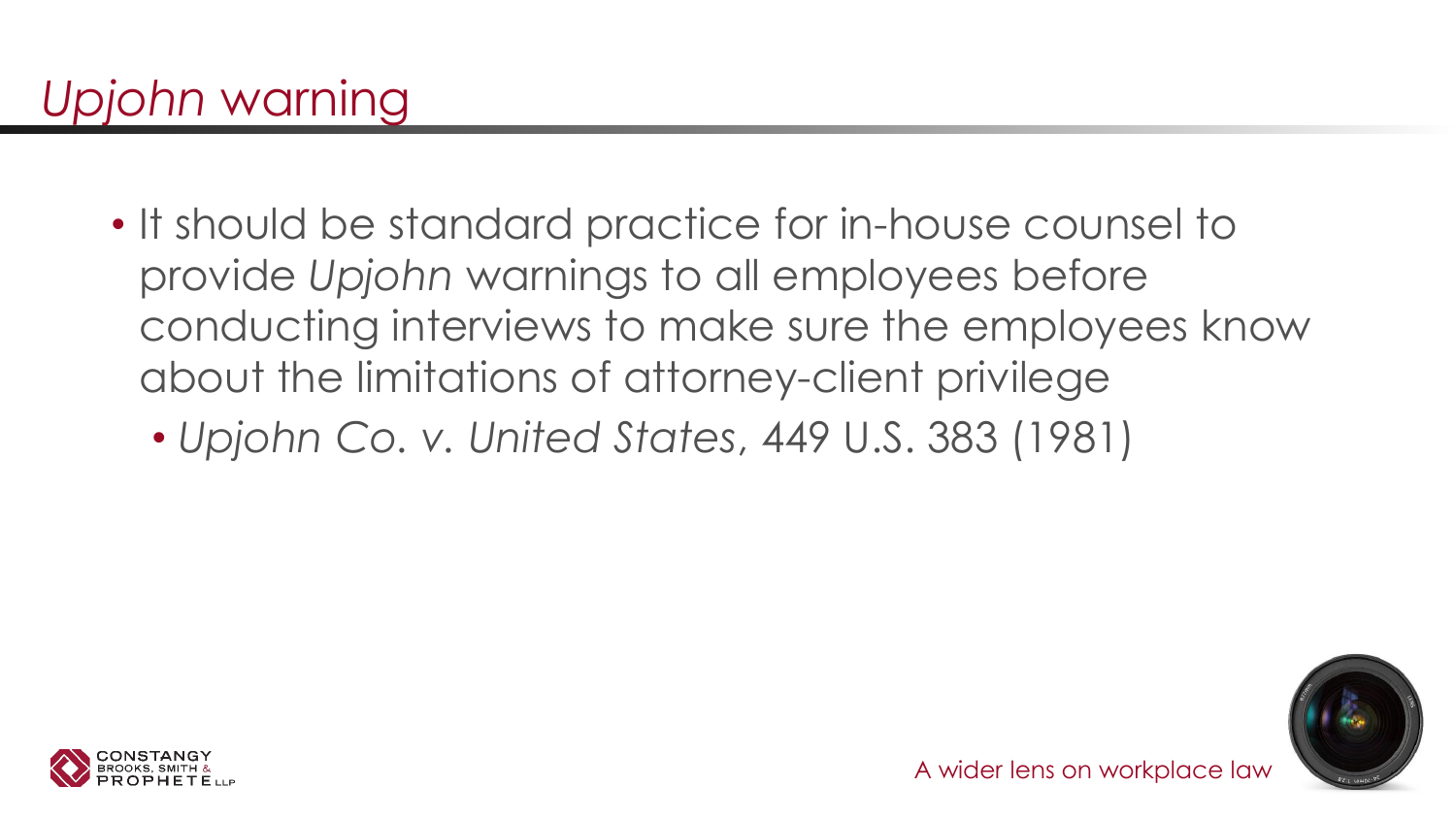- It should be standard practice for in-house counsel to provide *Upjohn* warnings to all employees before conducting interviews to make sure the employees know about the limitations of attorney-client privilege
	- *Upjohn Co. v. United States*, 449 U.S. 383 (1981)



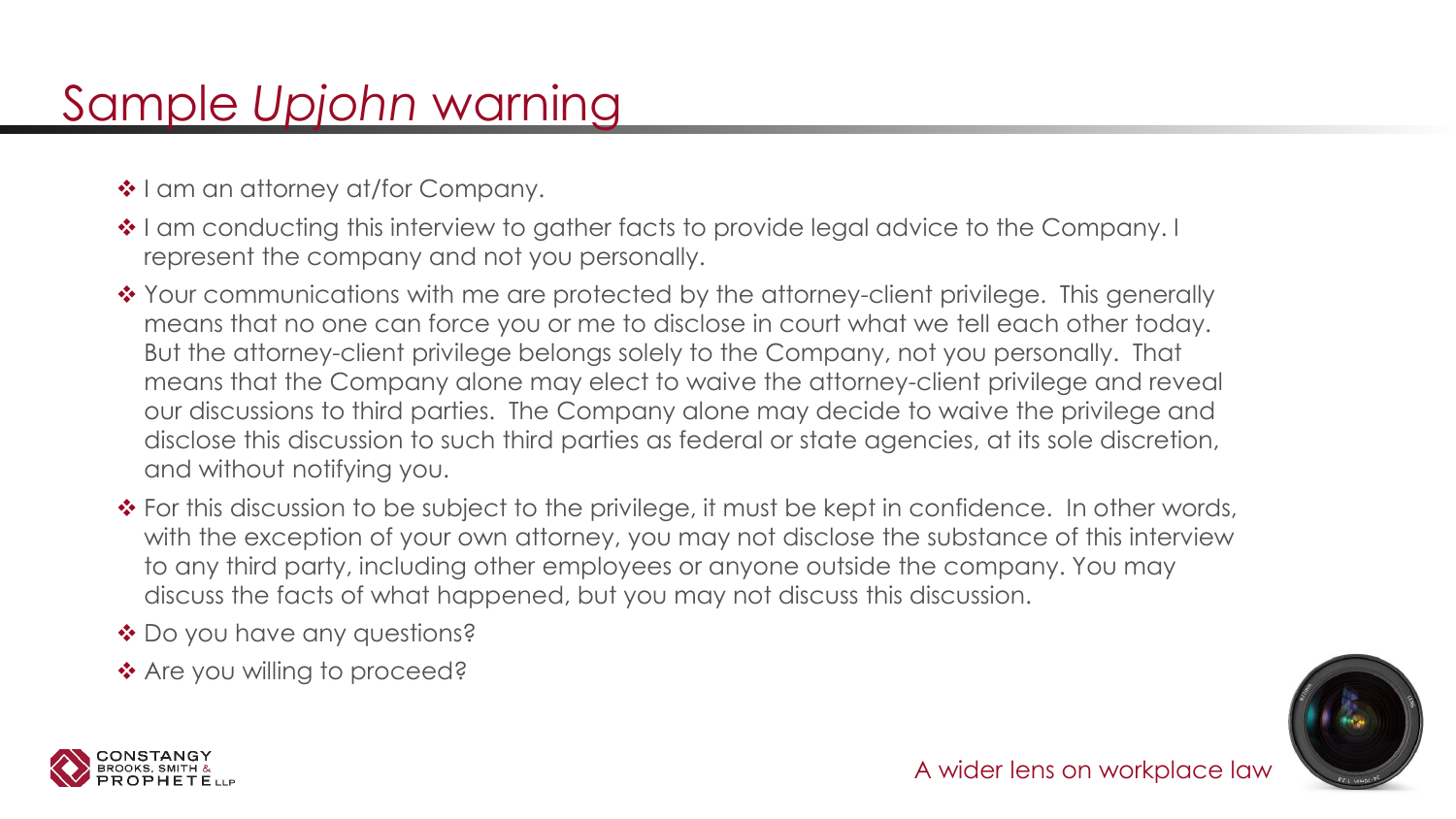### Sample *Upjohn* warning

- ❖ I am an attorney at/for Company.
- ❖ I am conducting this interview to gather facts to provide legal advice to the Company. I represent the company and not you personally.
- ◆ Your communications with me are protected by the attorney-client privilege. This generally means that no one can force you or me to disclose in court what we tell each other today. But the attorney-client privilege belongs solely to the Company, not you personally. That means that the Company alone may elect to waive the attorney-client privilege and reveal our discussions to third parties. The Company alone may decide to waive the privilege and disclose this discussion to such third parties as federal or state agencies, at its sole discretion, and without notifying you.
- ◆ For this discussion to be subject to the privilege, it must be kept in confidence. In other words, with the exception of your own attorney, you may not disclose the substance of this interview to any third party, including other employees or anyone outside the company. You may discuss the facts of what happened, but you may not discuss this discussion.
- ◆ Do you have any questions?
- ❖ Are you willing to proceed?



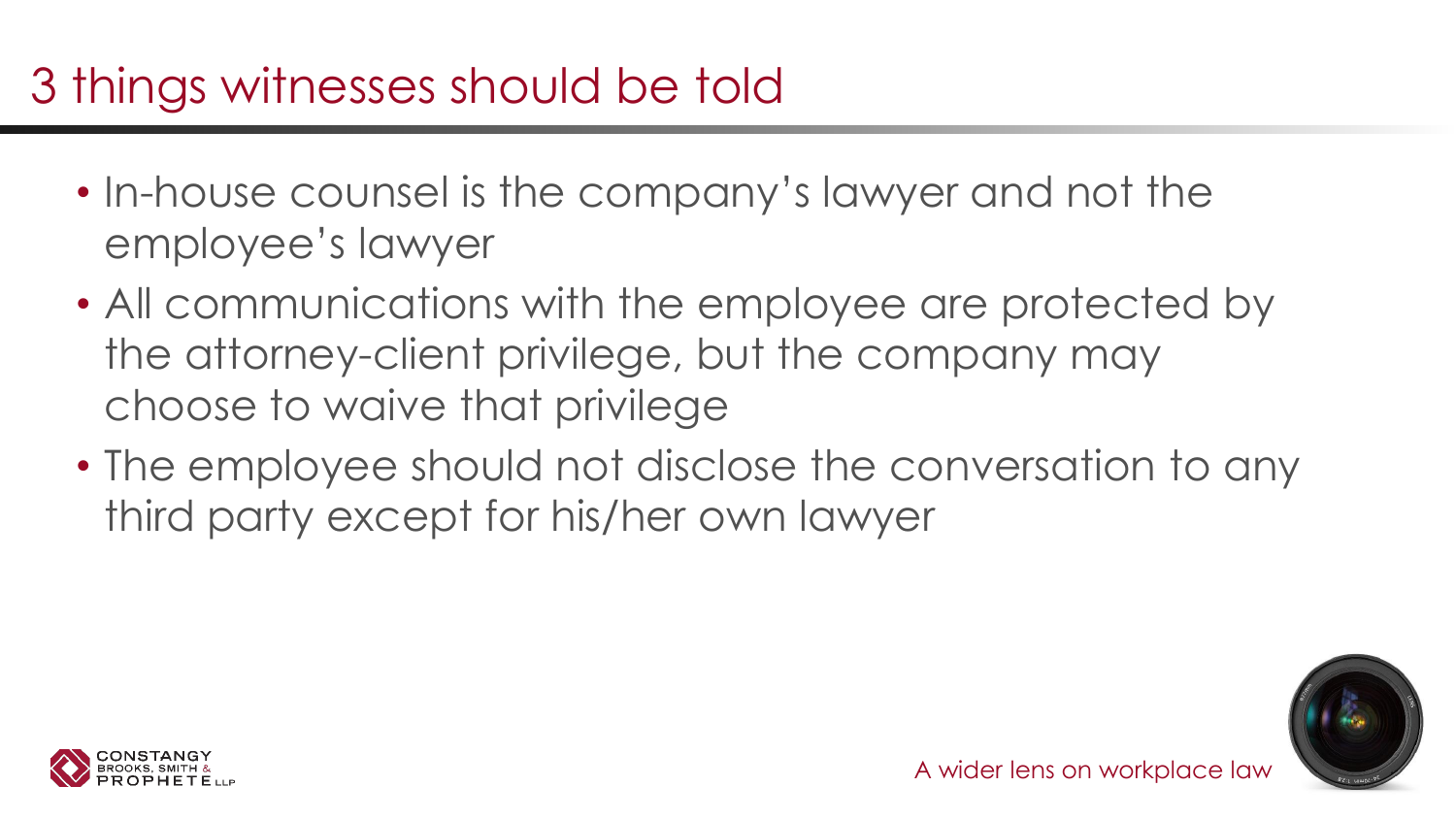# 3 things witnesses should be told

- In-house counsel is the company's lawyer and not the employee's lawyer
- All communications with the employee are protected by the attorney-client privilege, but the company may choose to waive that privilege
- The employee should not disclose the conversation to any third party except for his/her own lawyer



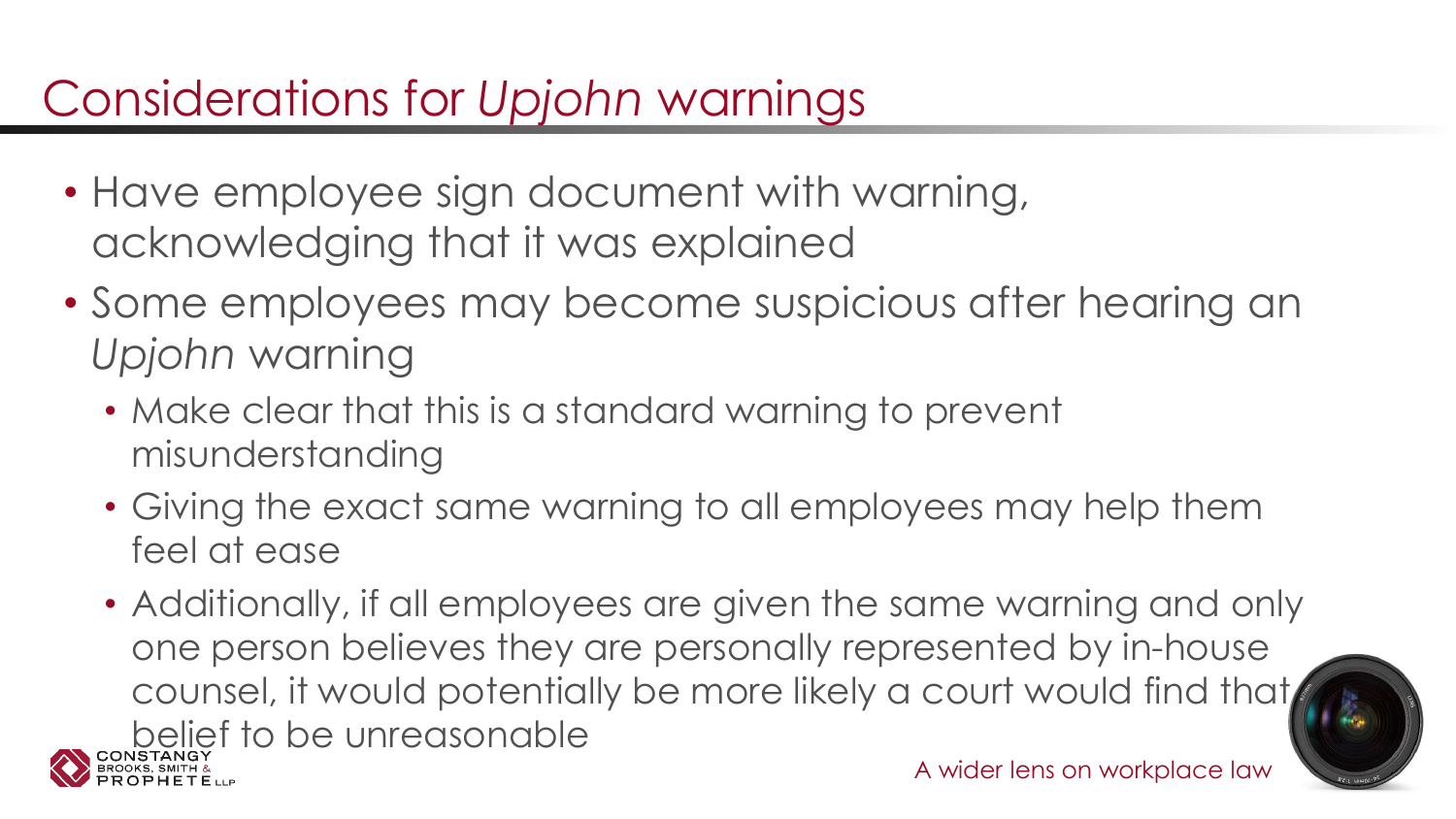# Considerations for *Upjohn* warnings

- Have employee sign document with warning, acknowledging that it was explained
- Some employees may become suspicious after hearing an *Upjohn* warning
	- Make clear that this is a standard warning to prevent misunderstanding
	- Giving the exact same warning to all employees may help them feel at ease
	- A wider lens on workplace law • Additionally, if all employees are given the same warning and only one person believes they are personally represented by in-house counsel, it would potentially be more likely a court would find that belief to be unreasonable

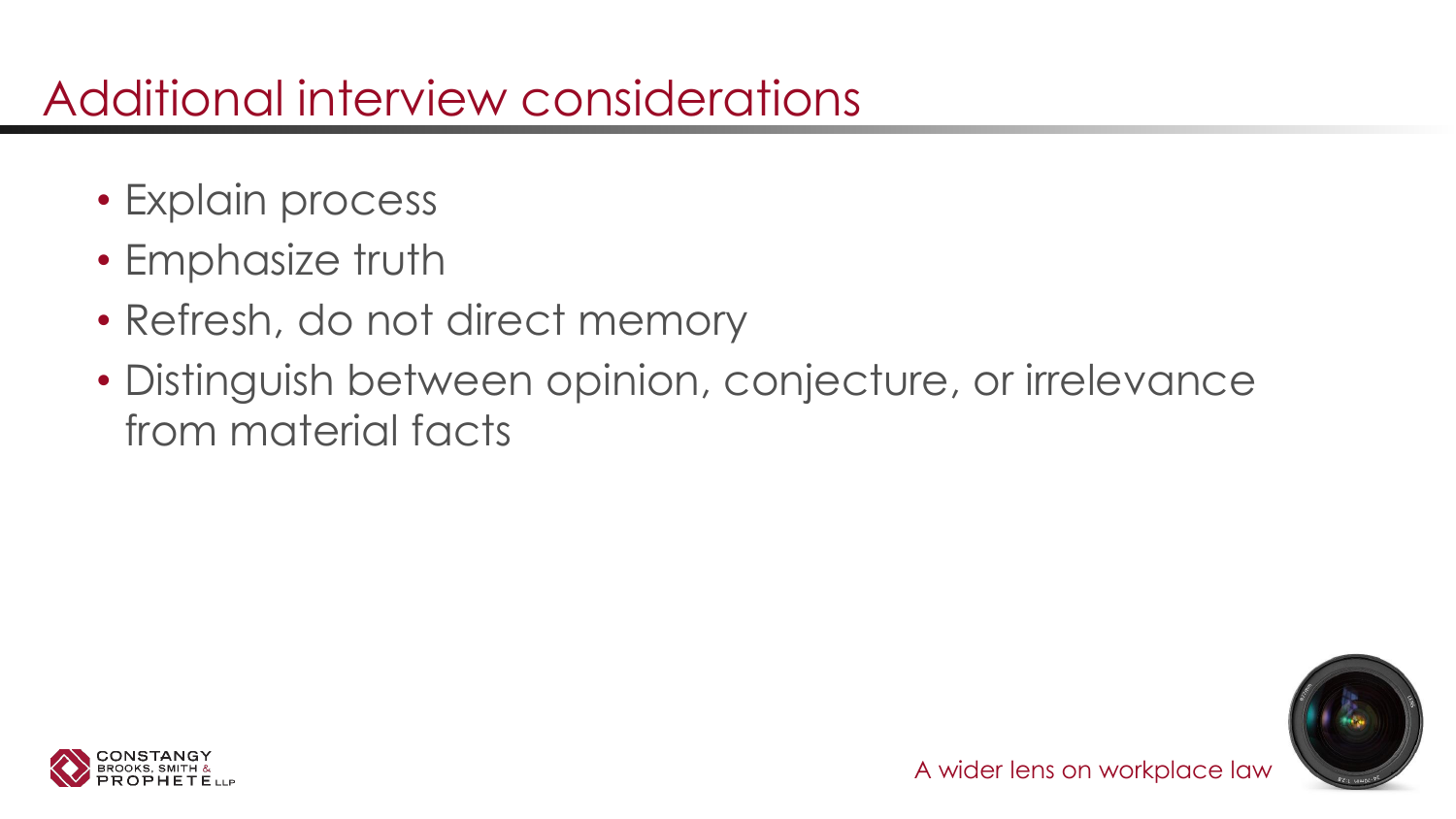### Additional interview considerations

- Explain process
- Emphasize truth
- Refresh, do not direct memory
- Distinguish between opinion, conjecture, or irrelevance from material facts



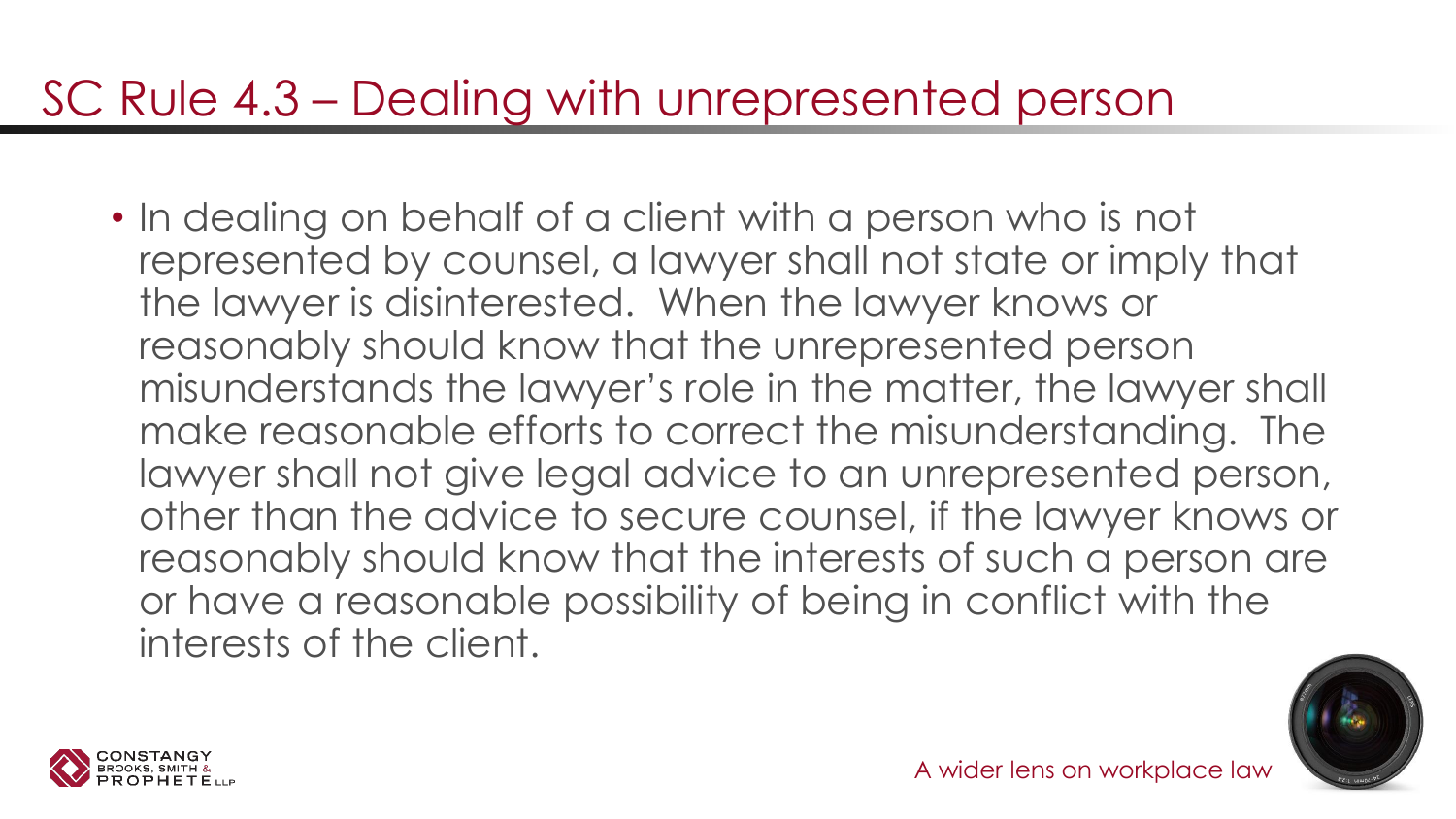### SC Rule 4.3 – Dealing with unrepresented person

• In dealing on behalf of a client with a person who is not represented by counsel, a lawyer shall not state or imply that the lawyer is disinterested. When the lawyer knows or reasonably should know that the unrepresented person misunderstands the lawyer's role in the matter, the lawyer shall make reasonable efforts to correct the misunderstanding. The lawyer shall not give legal advice to an unrepresented person, other than the advice to secure counsel, if the lawyer knows or reasonably should know that the interests of such a person are or have a reasonable possibility of being in conflict with the interests of the client.



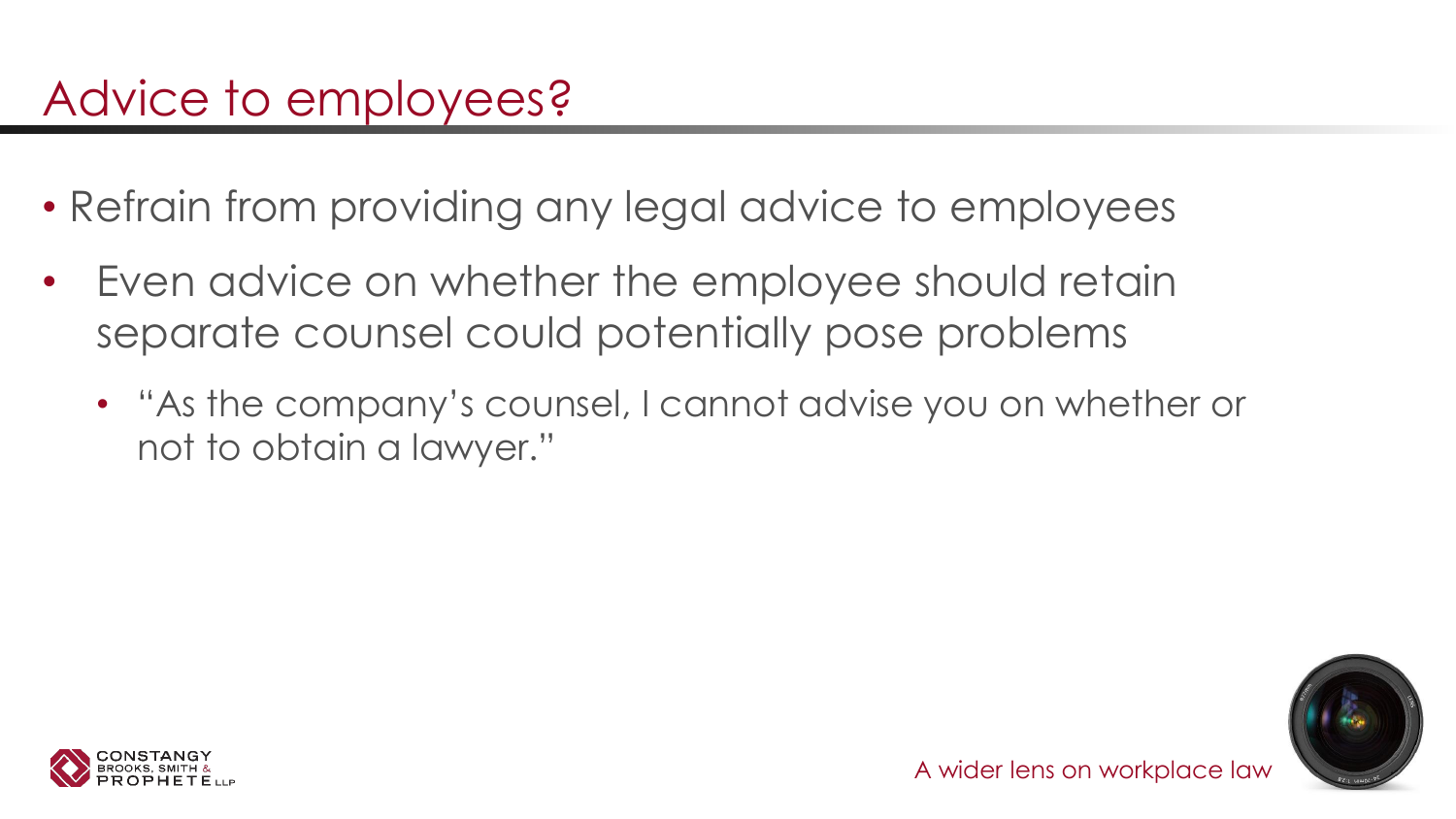- Refrain from providing any legal advice to employees
- Even advice on whether the employee should retain separate counsel could potentially pose problems
	- "As the company's counsel, I cannot advise you on whether or not to obtain a lawyer."



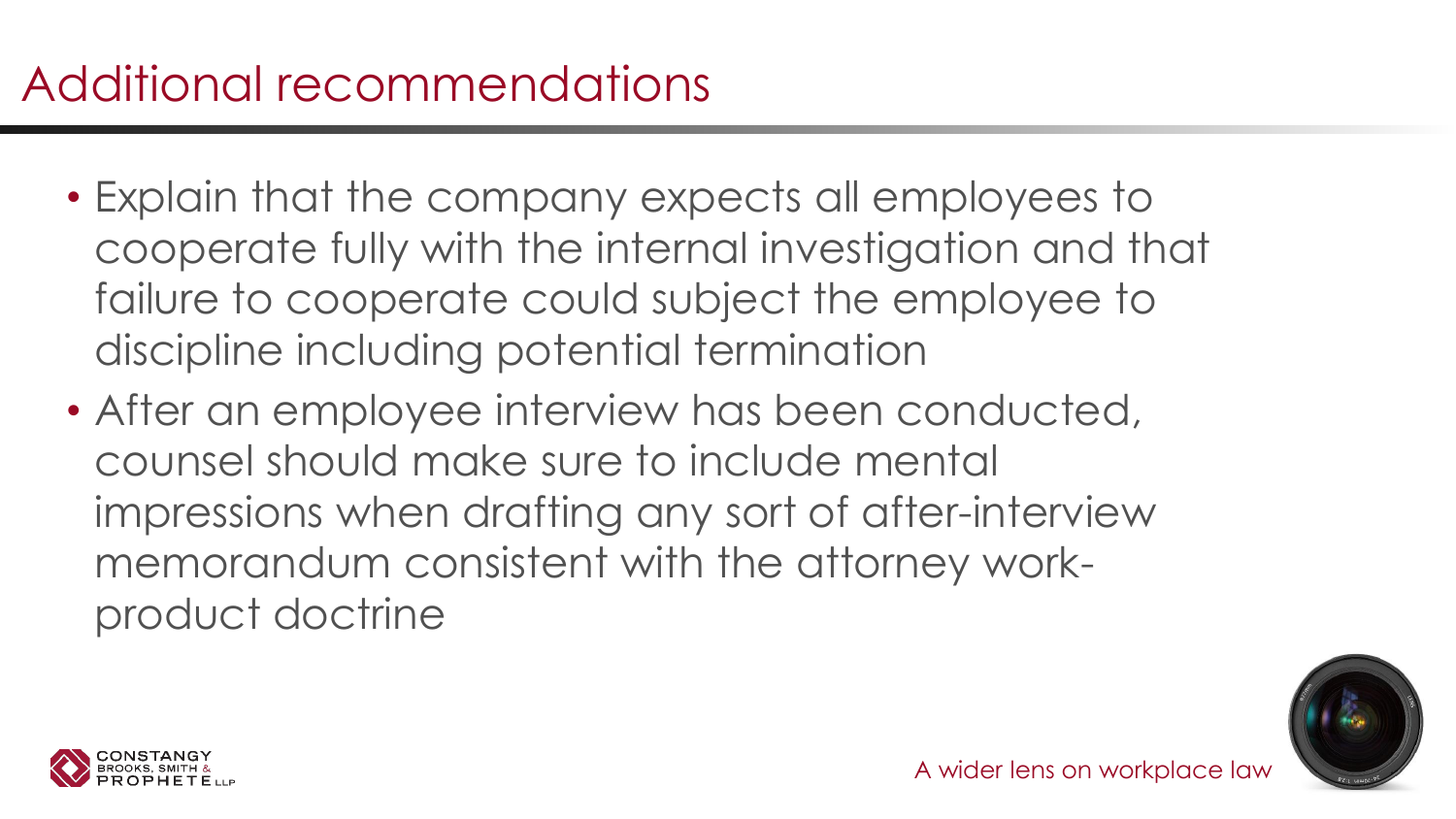- Explain that the company expects all employees to cooperate fully with the internal investigation and that failure to cooperate could subject the employee to discipline including potential termination
- After an employee interview has been conducted, counsel should make sure to include mental impressions when drafting any sort of after-interview memorandum consistent with the attorney workproduct doctrine



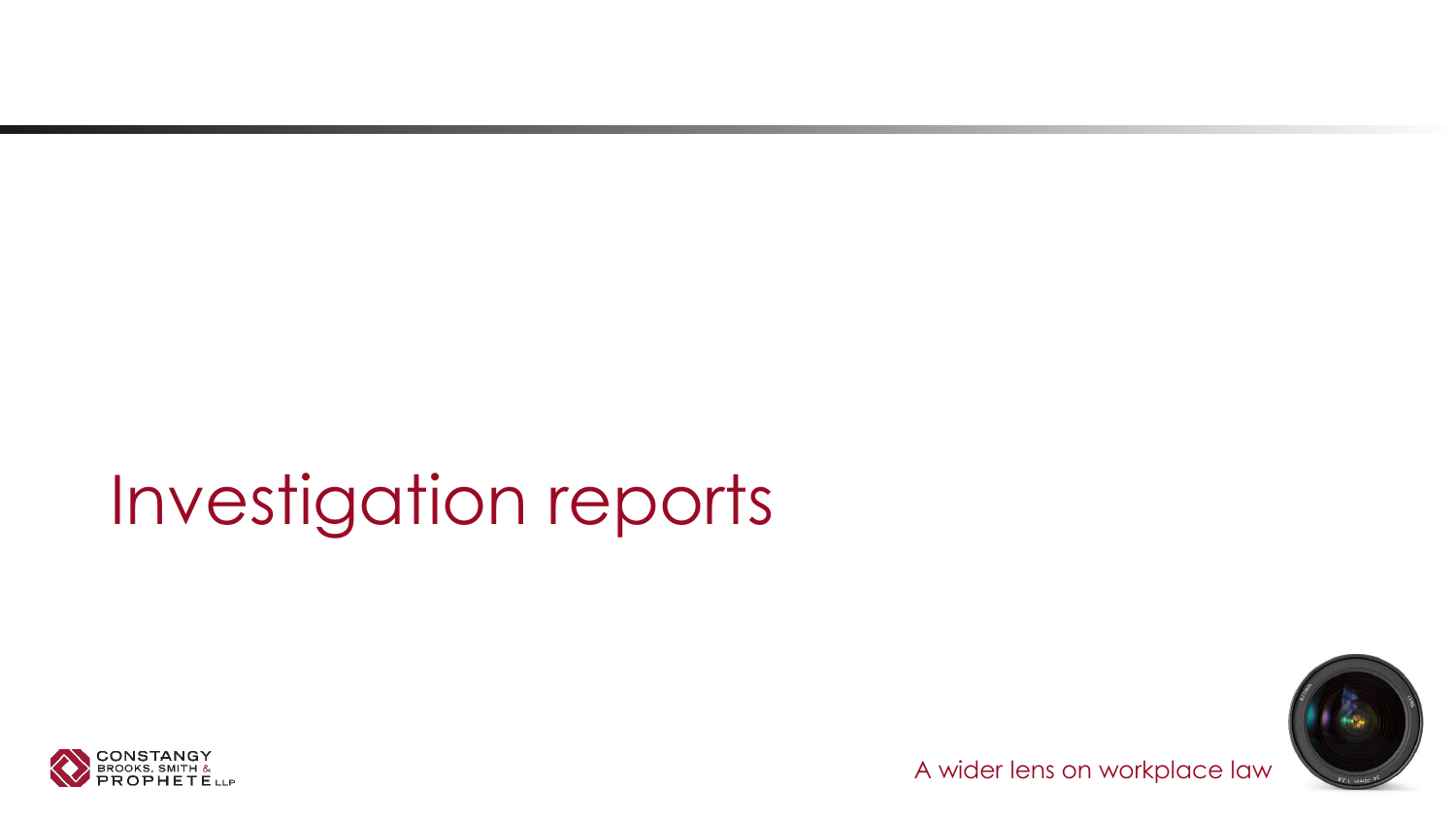# Investigation reports



 $-65$ 

A wider lens on workplace law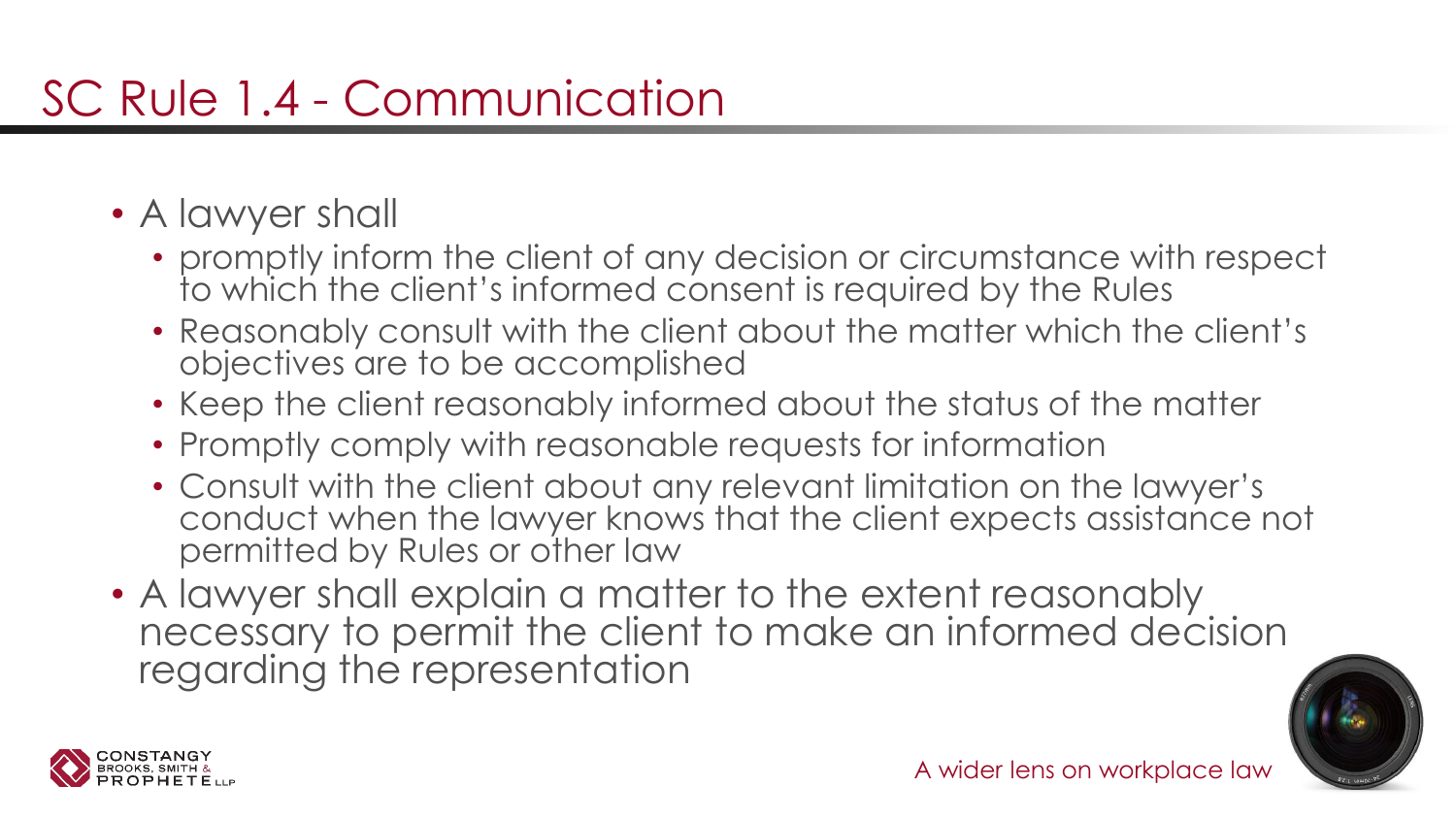- A lawyer shall
	- promptly inform the client of any decision or circumstance with respect to which the client's informed consent is required by the Rules
	- Reasonably consult with the client about the matter which the client's objectives are to be accomplished
	- Keep the client reasonably informed about the status of the matter
	- Promptly comply with reasonable requests for information
	- Consult with the client about any relevant limitation on the lawyer's conduct when the lawyer knows that the client expects assistance not permitted by Rules or other law
- A lawyer shall explain a matter to the extent reasonably necessary to permit the client to make an informed decision regarding the representation



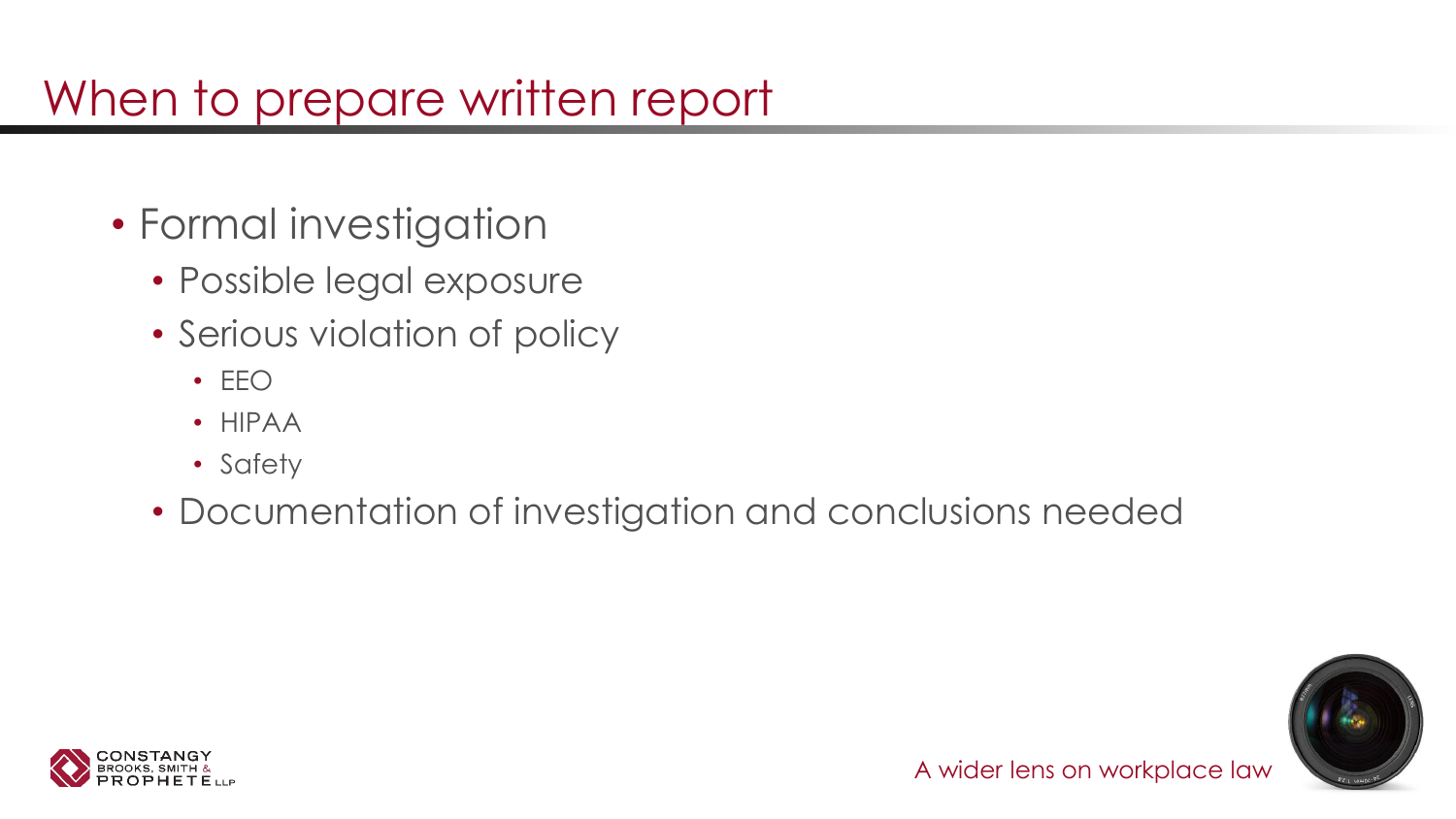### When to prepare written report

- Formal investigation
	- Possible legal exposure
	- Serious violation of policy
		- EEO
		- HIPAA
		- Safety
	- Documentation of investigation and conclusions needed



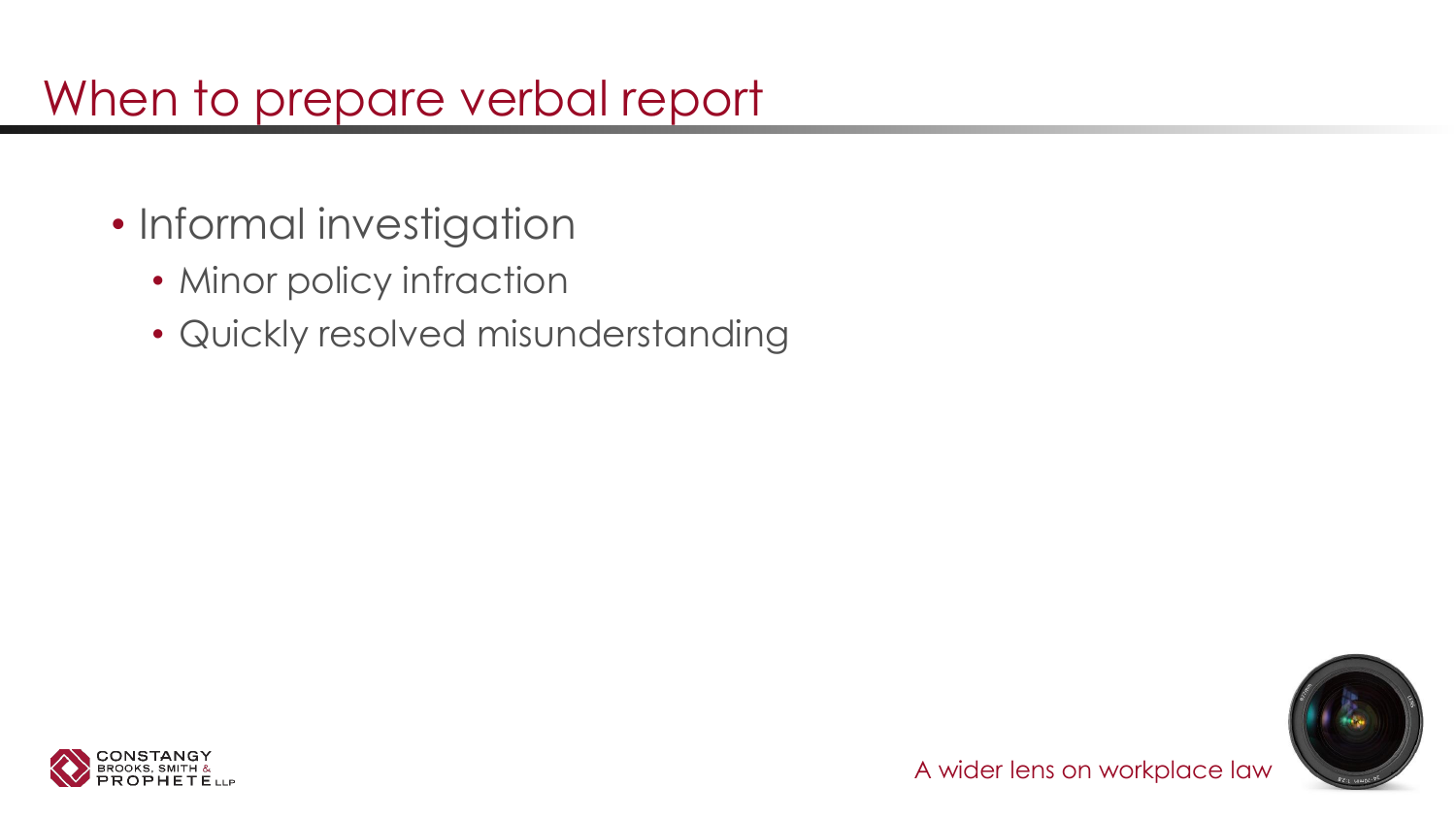### When to prepare verbal report

- Informal investigation
	- Minor policy infraction
	- Quickly resolved misunderstanding



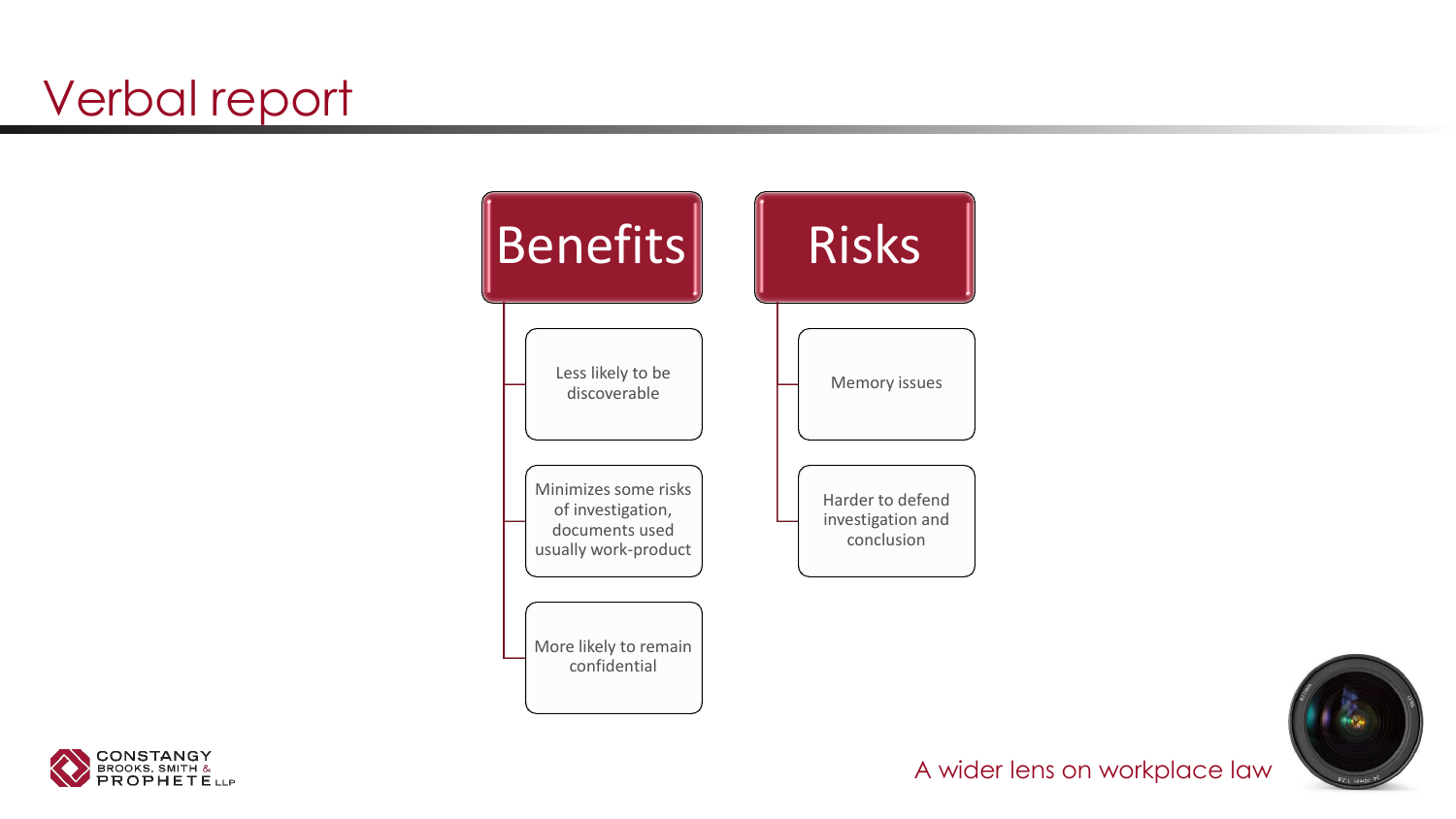# Verbal report





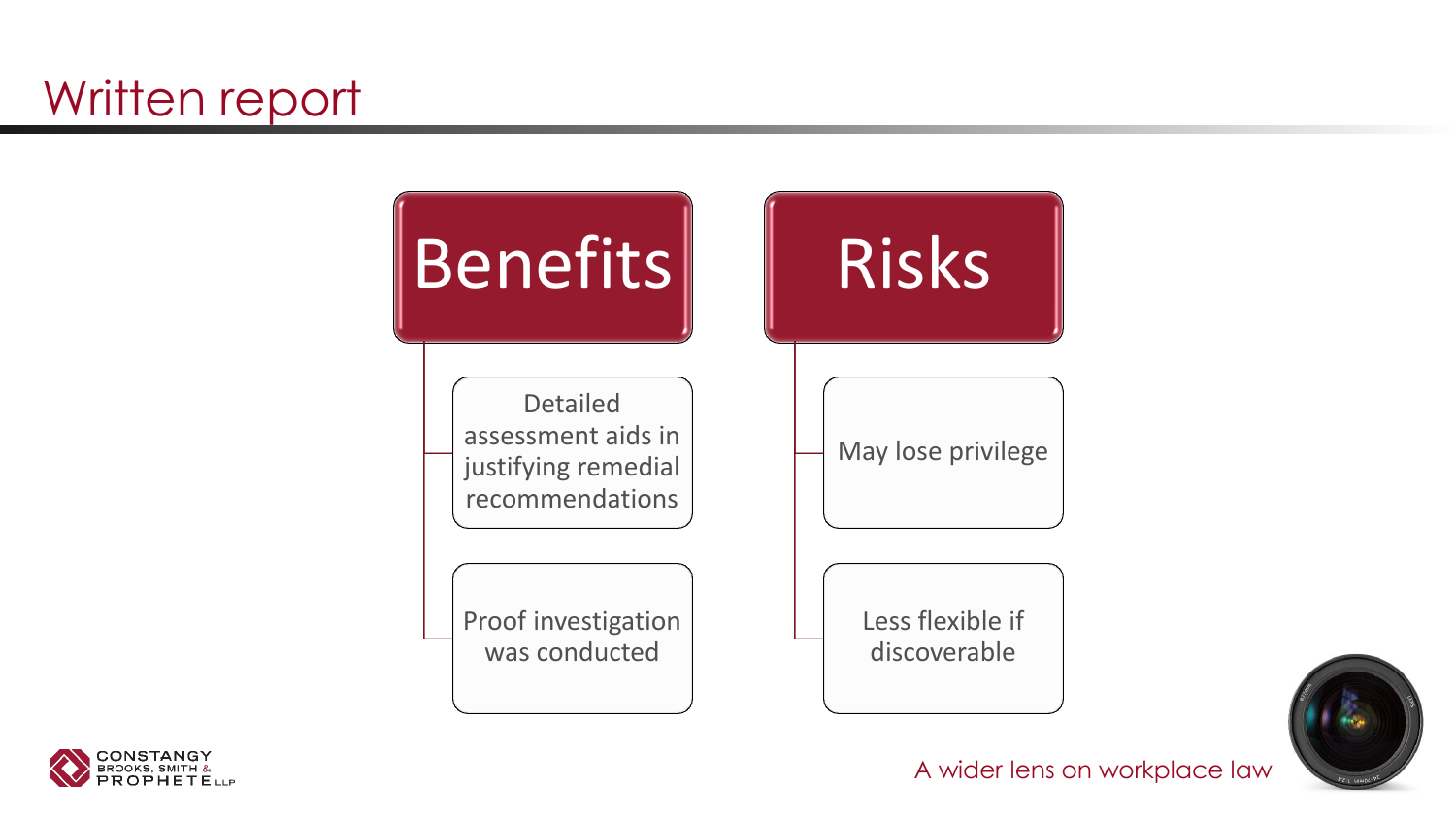# Written report







A wider lens on workplace law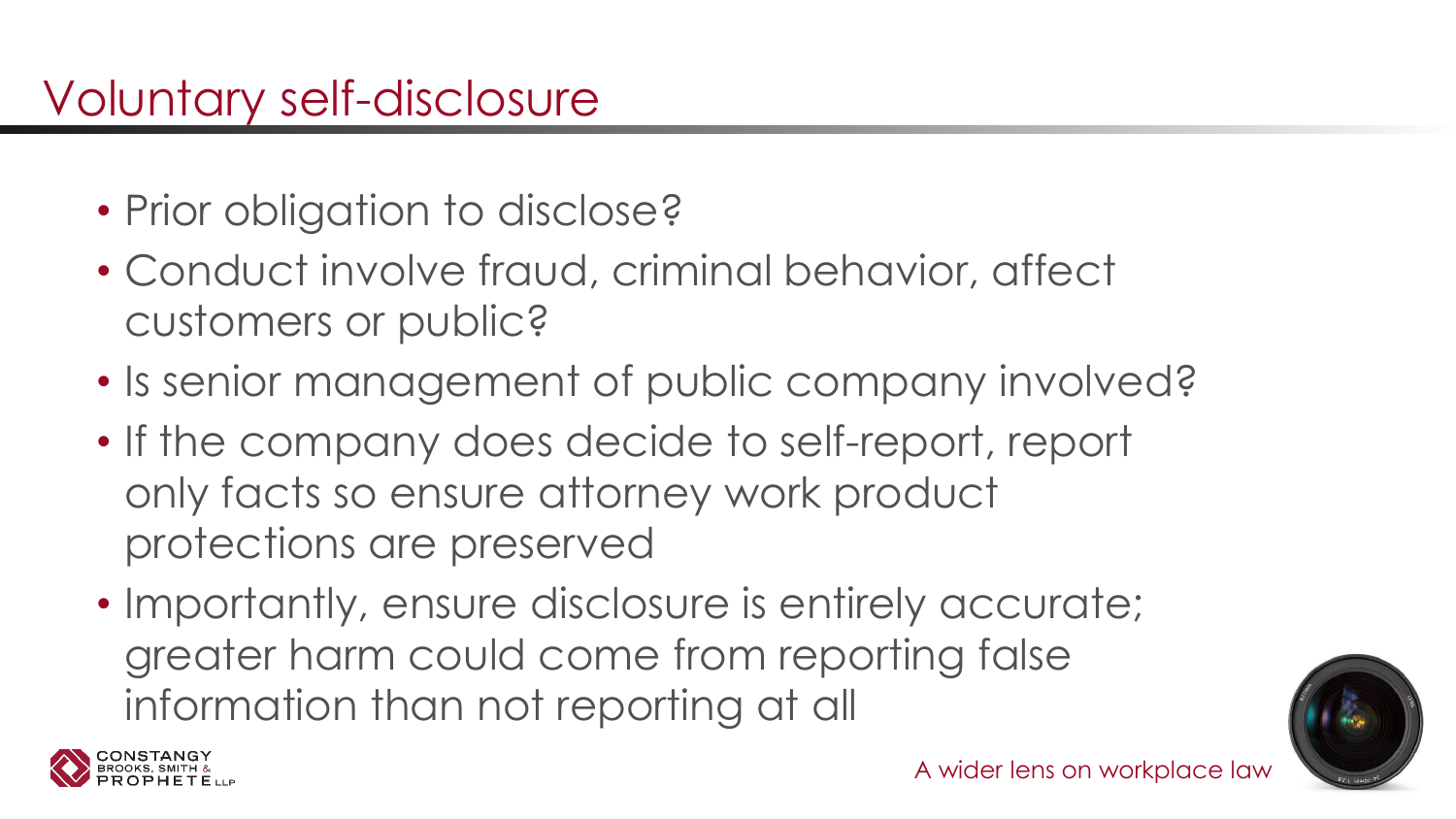- Prior obligation to disclose?
- Conduct involve fraud, criminal behavior, affect customers or public?
- Is senior management of public company involved?
- If the company does decide to self-report, report only facts so ensure attorney work product protections are preserved
- Importantly, ensure disclosure is entirely accurate; greater harm could come from reporting false information than not reporting at all



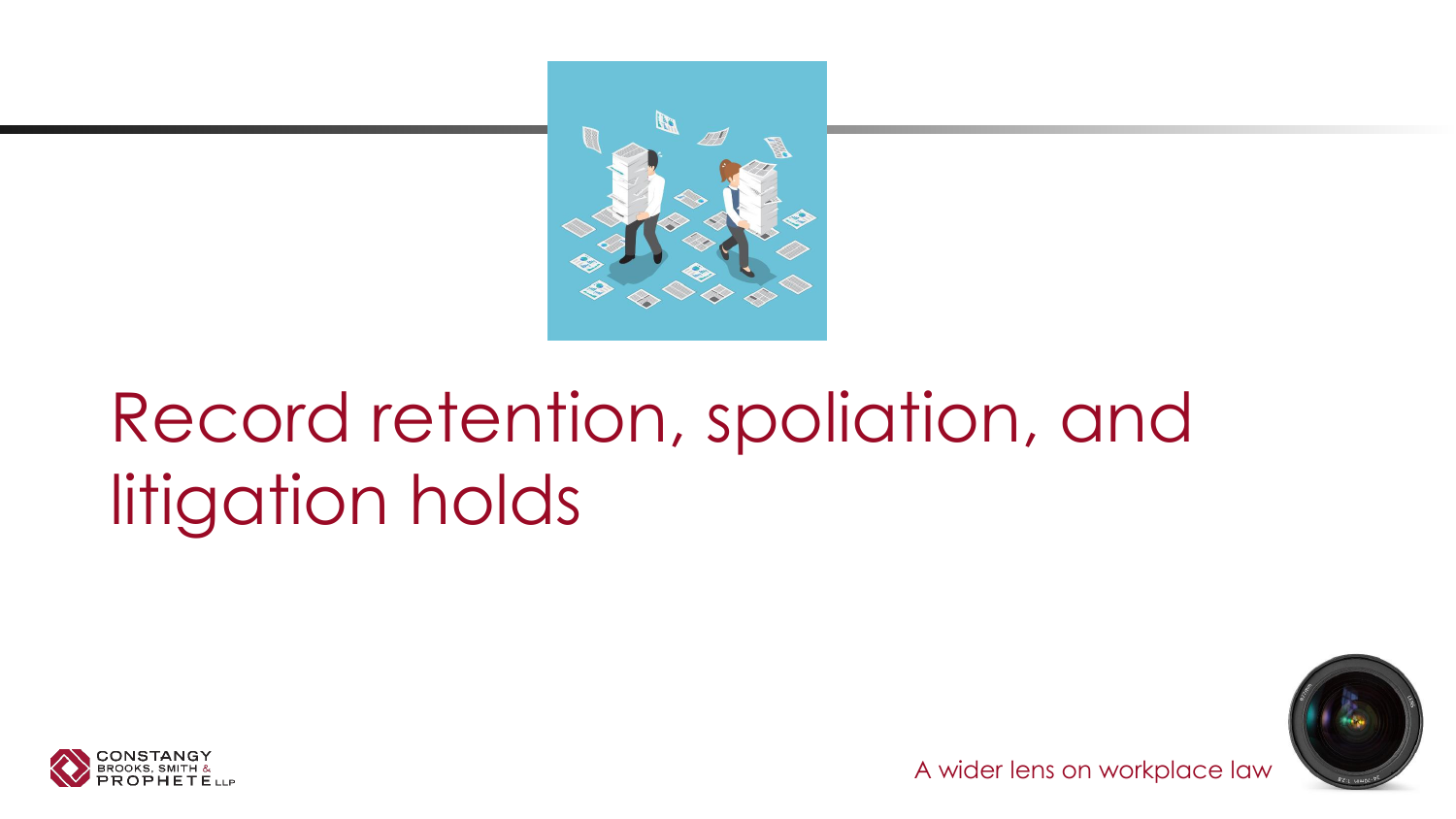

# Record retention, spoliation, and litigation holds





A wider lens on workplace law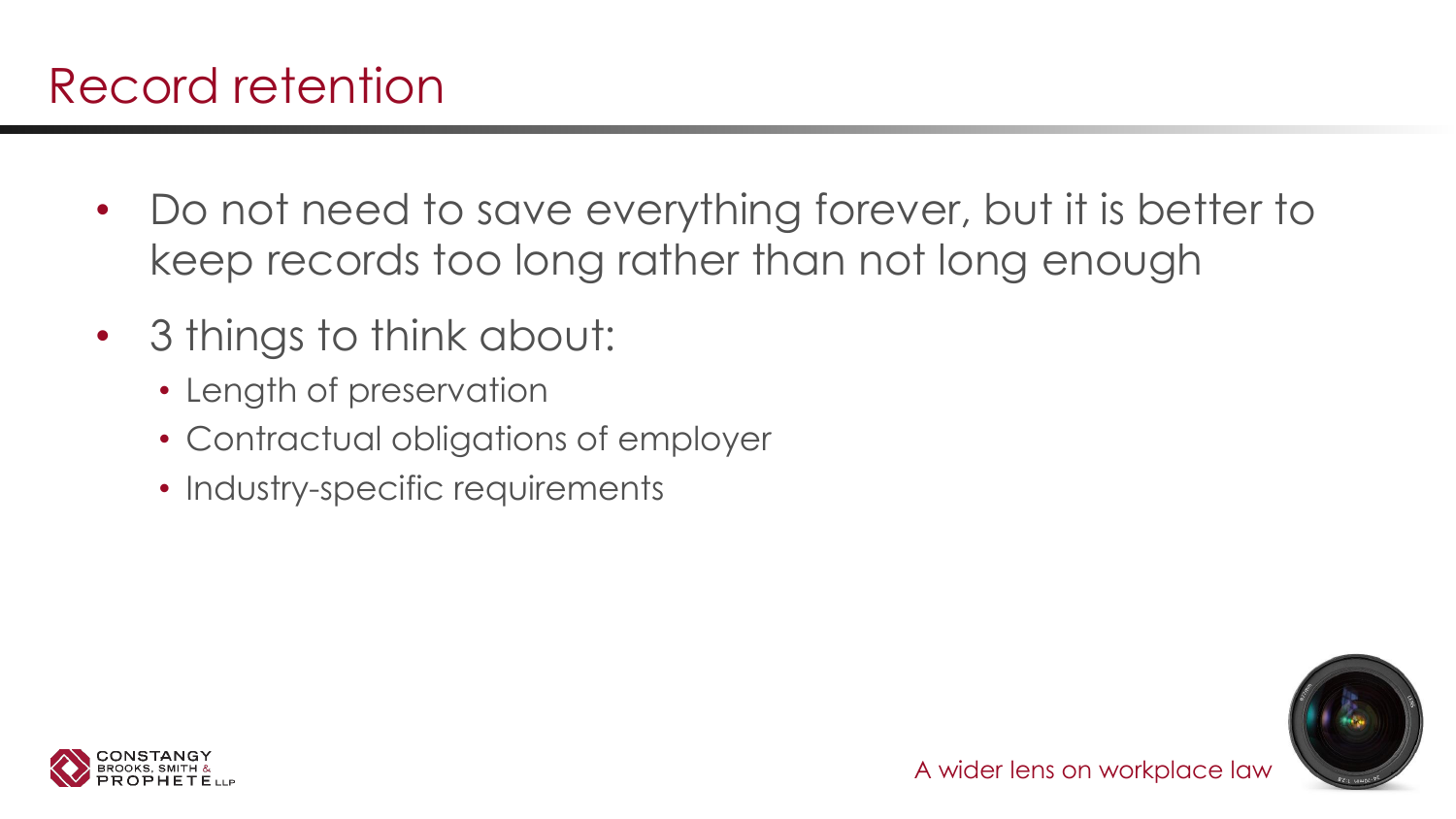- Do not need to save everything forever, but it is better to keep records too long rather than not long enough
- 3 things to think about:
	- Length of preservation
	- Contractual obligations of employer
	- Industry-specific requirements



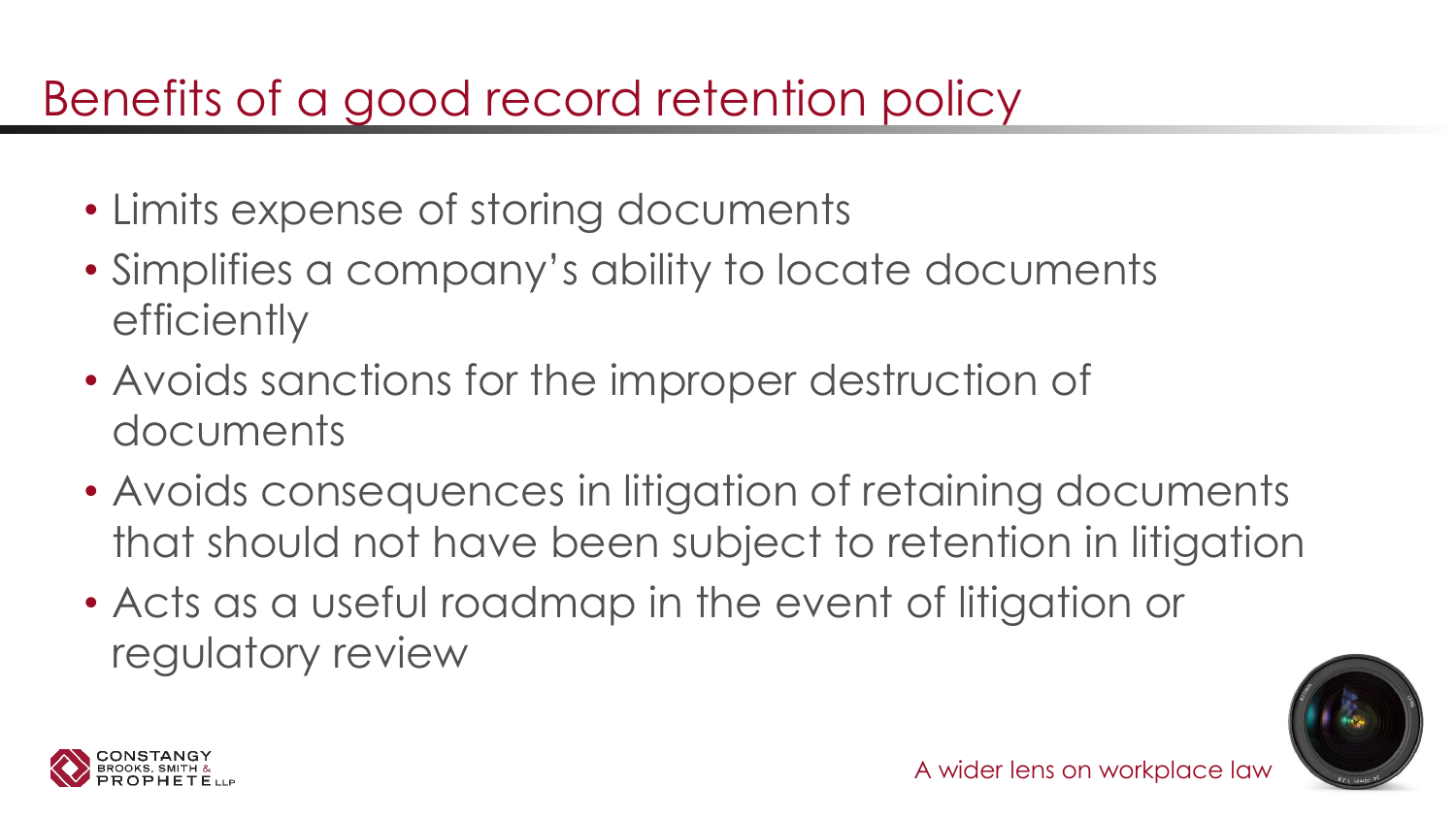### Benefits of a good record retention policy

- Limits expense of storing documents
- Simplifies a company's ability to locate documents **efficiently**
- Avoids sanctions for the improper destruction of documents
- Avoids consequences in litigation of retaining documents that should not have been subject to retention in litigation
- Acts as a useful roadmap in the event of litigation or regulatory review



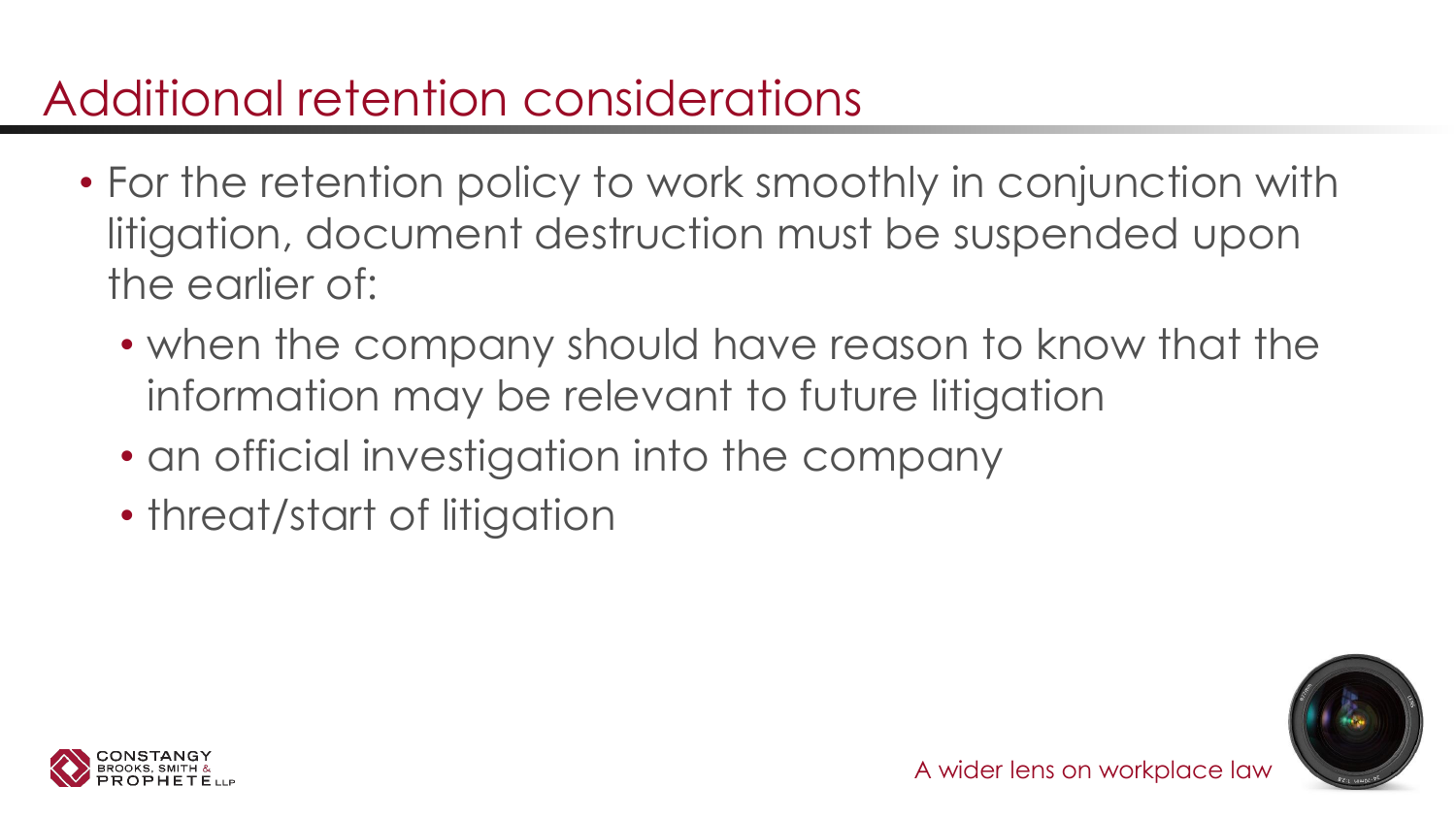# Additional retention considerations

- For the retention policy to work smoothly in conjunction with litigation, document destruction must be suspended upon the earlier of:
	- when the company should have reason to know that the information may be relevant to future litigation
	- an official investigation into the company
	- threat/start of litigation



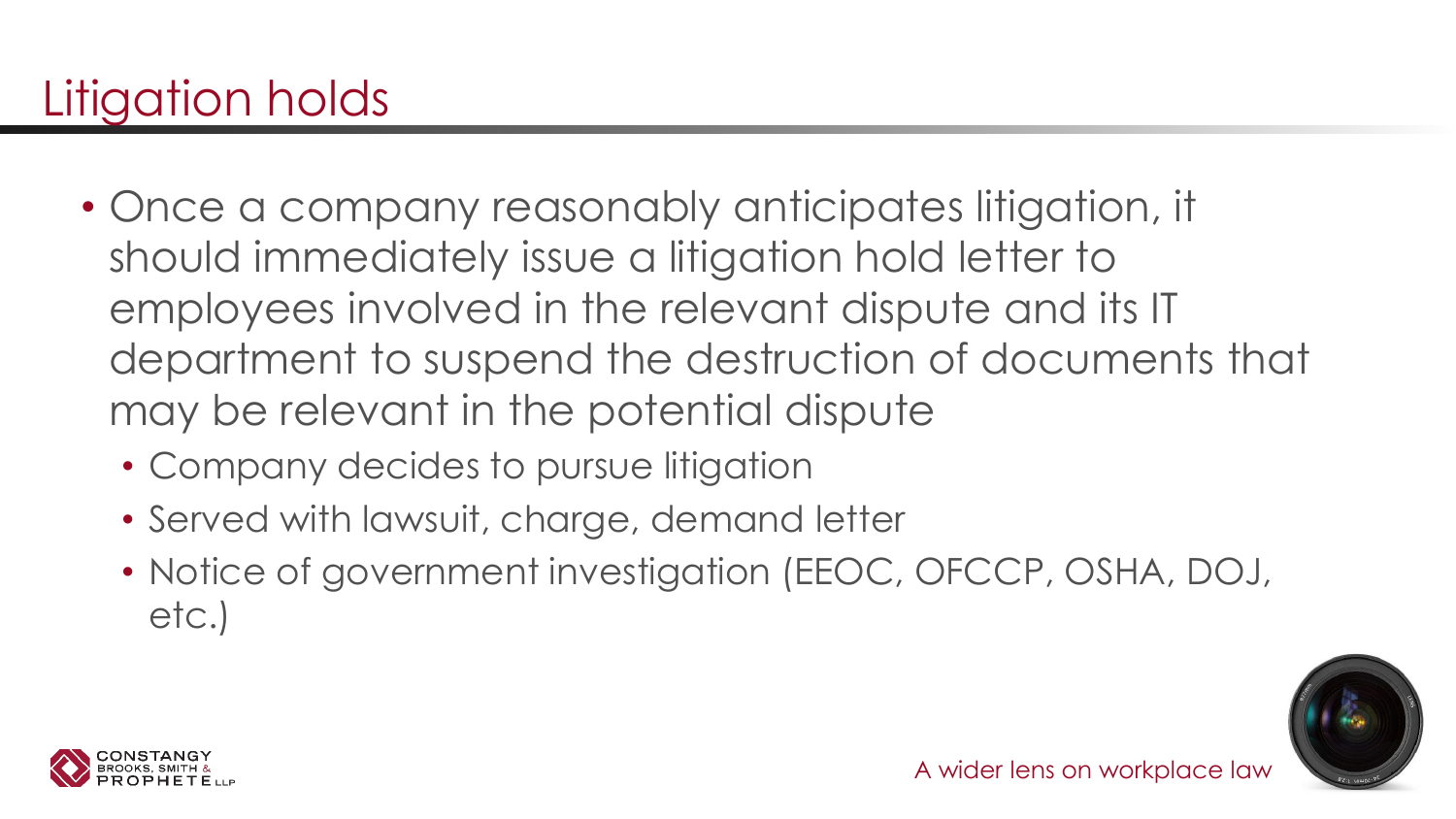- Once a company reasonably anticipates litigation, it should immediately issue a litigation hold letter to employees involved in the relevant dispute and its IT department to suspend the destruction of documents that may be relevant in the potential dispute
	- Company decides to pursue litigation
	- Served with lawsuit, charge, demand letter
	- Notice of government investigation (EEOC, OFCCP, OSHA, DOJ, etc.)



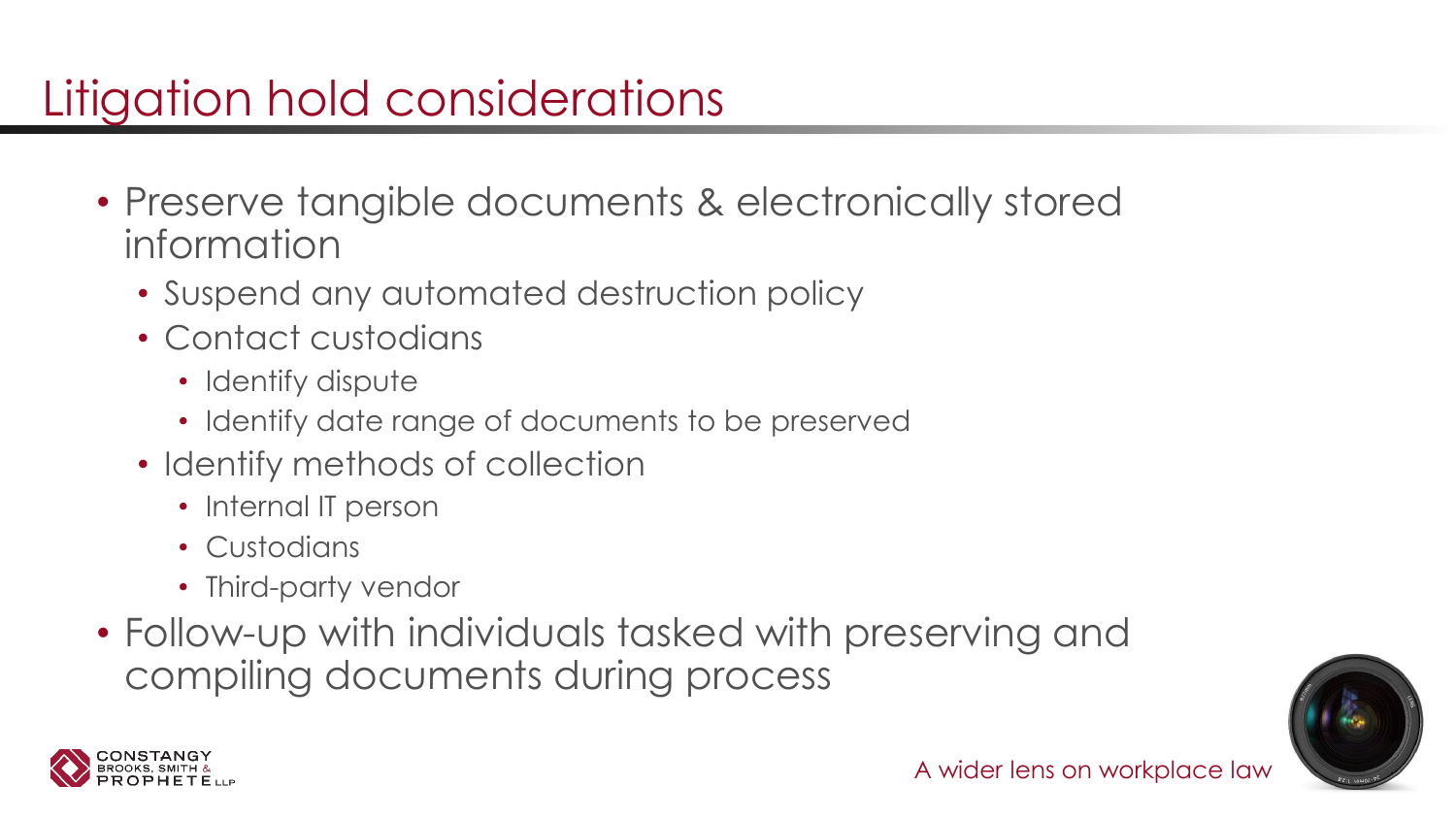# Litigation hold considerations

- Preserve tangible documents & electronically stored information
	- Suspend any automated destruction policy
	- Contact custodians
		- Identify dispute
		- Identify date range of documents to be preserved
	- Identify methods of collection
		- Internal IT person
		- Custodians
		- Third-party vendor
- Follow-up with individuals tasked with preserving and compiling documents during process



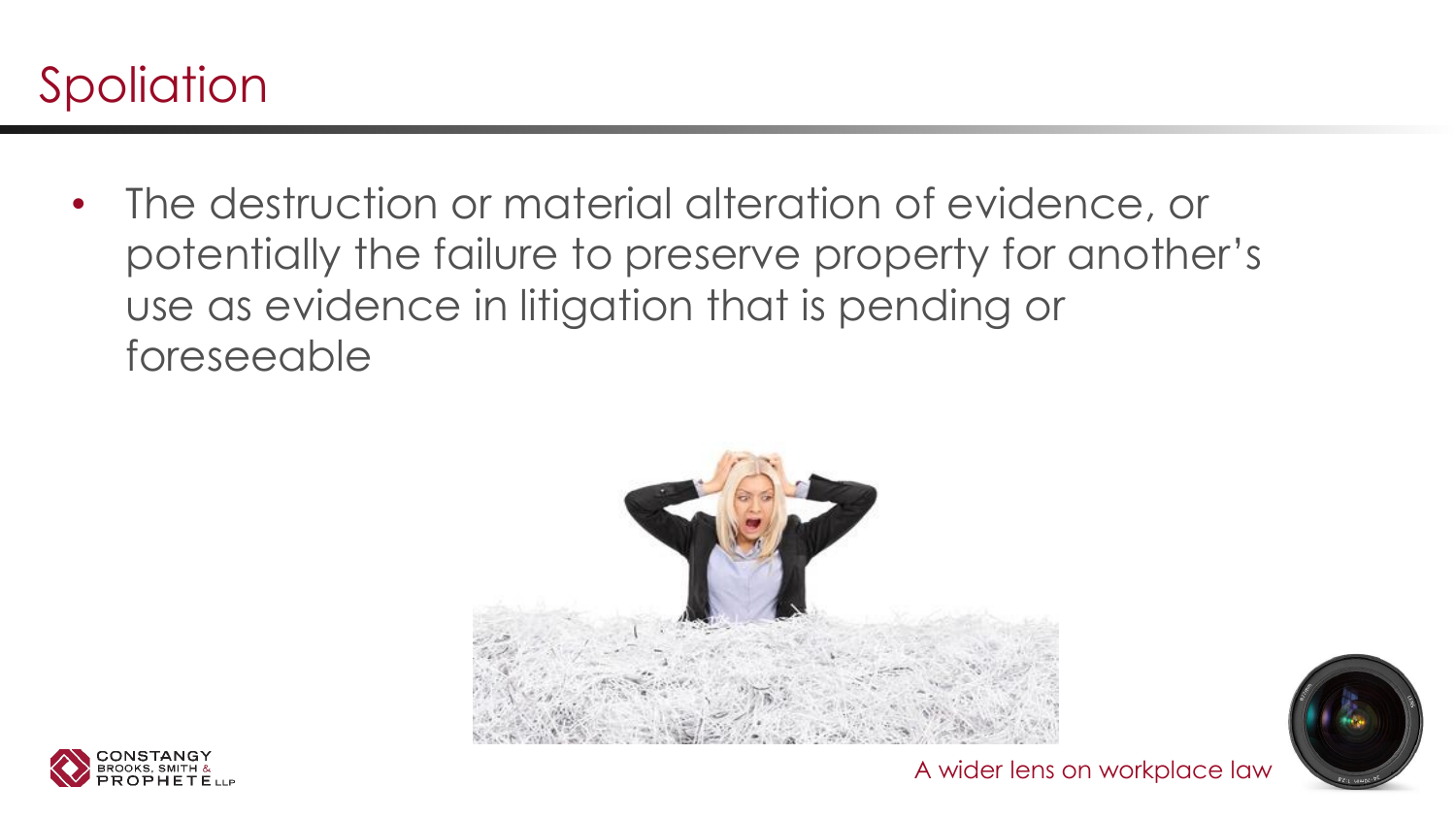

• The destruction or material alteration of evidence, or potentially the failure to preserve property for another's use as evidence in litigation that is pending or foreseeable





A wider lens on workplace law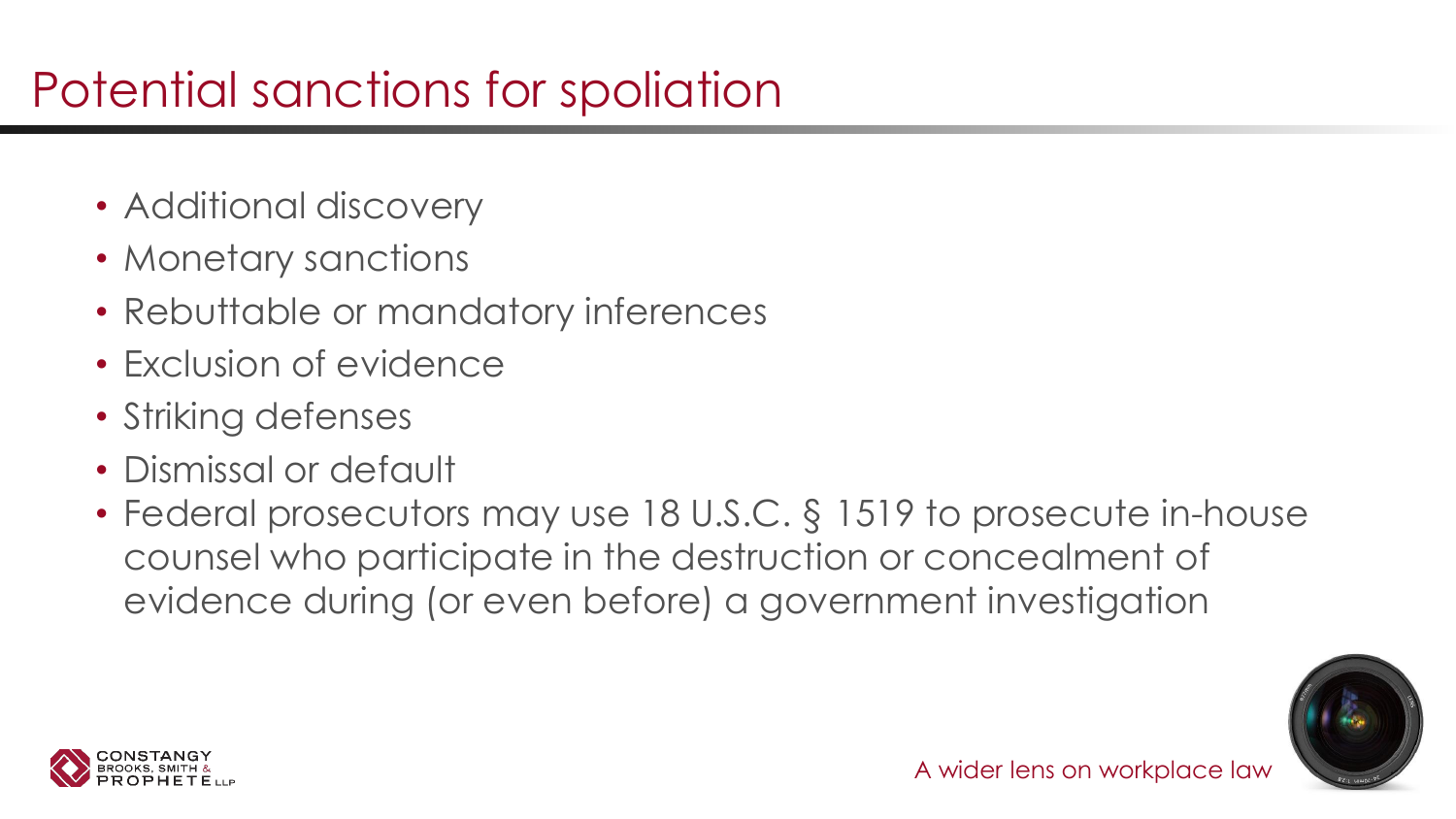# Potential sanctions for spoliation

- Additional discovery
- Monetary sanctions
- Rebuttable or mandatory inferences
- Exclusion of evidence
- Striking defenses
- Dismissal or default
- Federal prosecutors may use 18 U.S.C. § 1519 to prosecute in-house counsel who participate in the destruction or concealment of evidence during (or even before) a government investigation



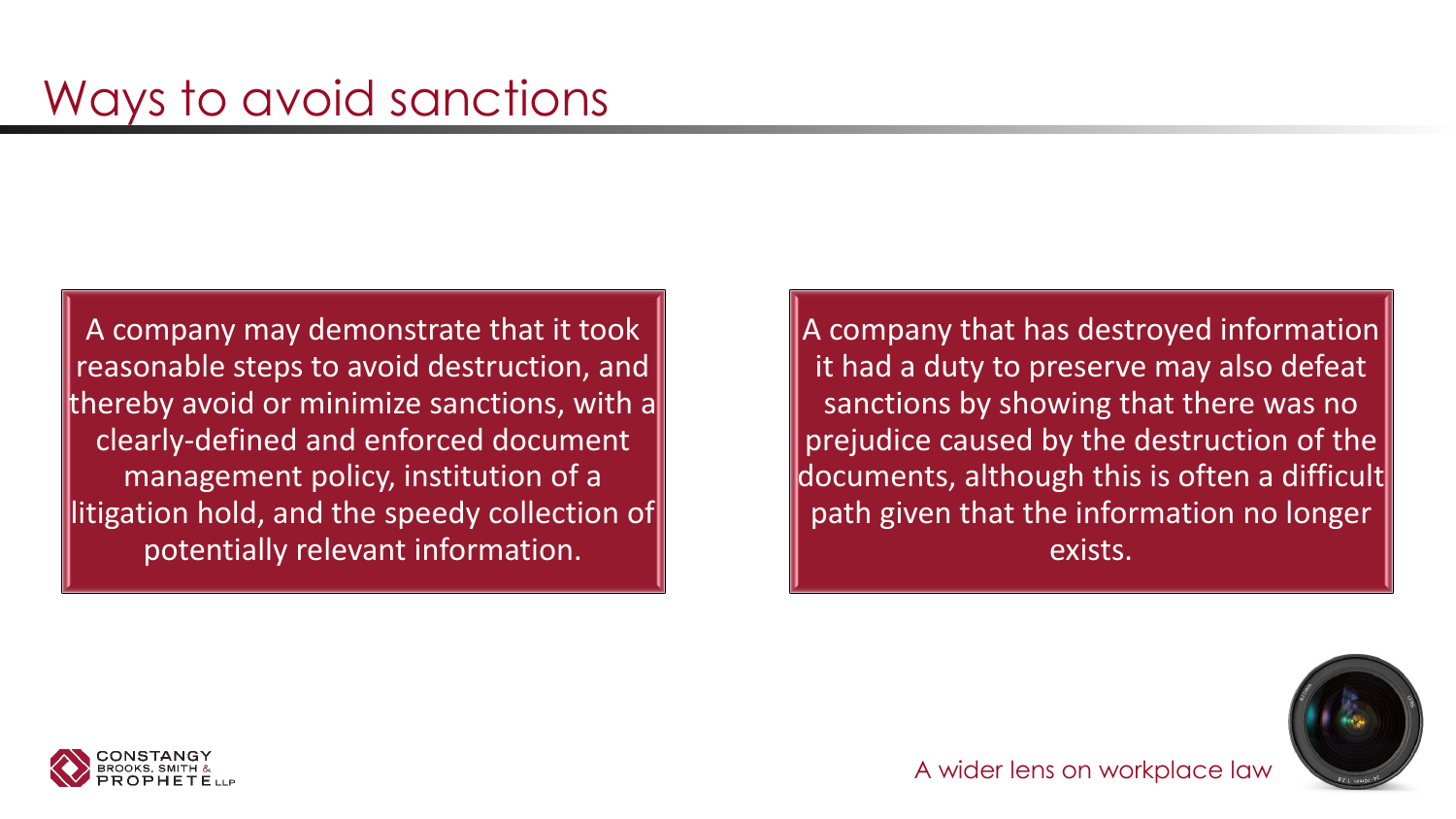A company may demonstrate that it took reasonable steps to avoid destruction, and thereby avoid or minimize sanctions, with a clearly-defined and enforced document management policy, institution of a litigation hold, and the speedy collection of potentially relevant information.

A company that has destroyed information it had a duty to preserve may also defeat sanctions by showing that there was no prejudice caused by the destruction of the documents, although this is often a difficult path given that the information no longer exists.